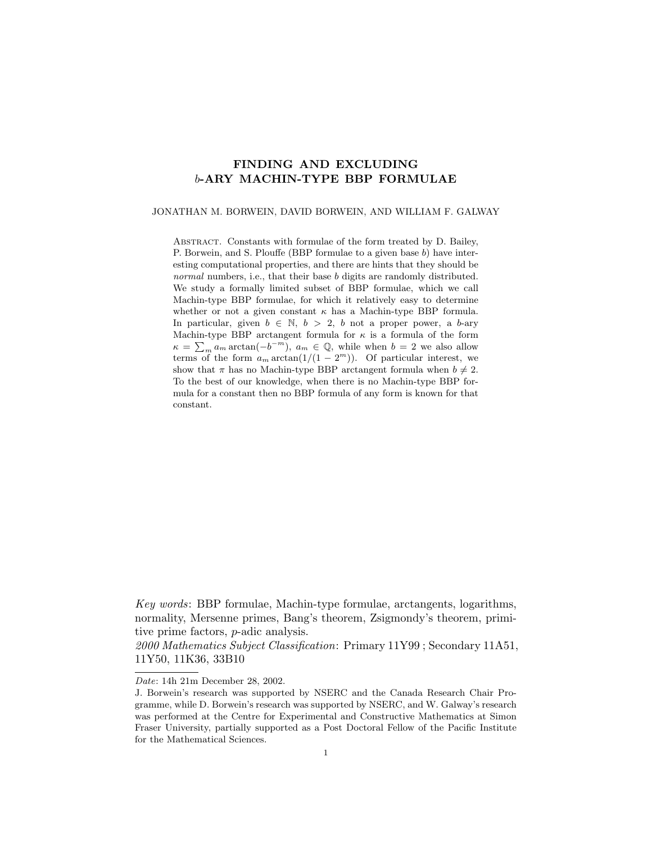# FINDING AND EXCLUDING b-ARY MACHIN-TYPE BBP FORMULAE

## JONATHAN M. BORWEIN, DAVID BORWEIN, AND WILLIAM F. GALWAY

ABSTRACT. Constants with formulae of the form treated by D. Bailey, P. Borwein, and S. Plouffe (BBP formulae to a given base b) have interesting computational properties, and there are hints that they should be normal numbers, i.e., that their base b digits are randomly distributed. We study a formally limited subset of BBP formulae, which we call Machin-type BBP formulae, for which it relatively easy to determine whether or not a given constant  $\kappa$  has a Machin-type BBP formula. In particular, given  $b \in \mathbb{N}$ ,  $b > 2$ , b not a proper power, a b-ary Machin-type BBP arctangent formula for  $\kappa$  is a formula of the form  $\kappa = \sum_{m} a_m \arctan(-b^{-m}), a_m \in \mathbb{Q}$ , while when  $b = 2$  we also allow terms of the form  $a_m \arctan(1/(1-2^m))$ . Of particular interest, we show that  $\pi$  has no Machin-type BBP arctangent formula when  $b \neq 2$ . To the best of our knowledge, when there is no Machin-type BBP formula for a constant then no BBP formula of any form is known for that constant.

Key words: BBP formulae, Machin-type formulae, arctangents, logarithms, normality, Mersenne primes, Bang's theorem, Zsigmondy's theorem, primitive prime factors, p-adic analysis.

2000 Mathematics Subject Classification: Primary 11Y99 ; Secondary 11A51, 11Y50, 11K36, 33B10

Date: 14h 21m December 28, 2002.

J. Borwein's research was supported by NSERC and the Canada Research Chair Programme, while D. Borwein's research was supported by NSERC, and W. Galway's research was performed at the Centre for Experimental and Constructive Mathematics at Simon Fraser University, partially supported as a Post Doctoral Fellow of the Pacific Institute for the Mathematical Sciences.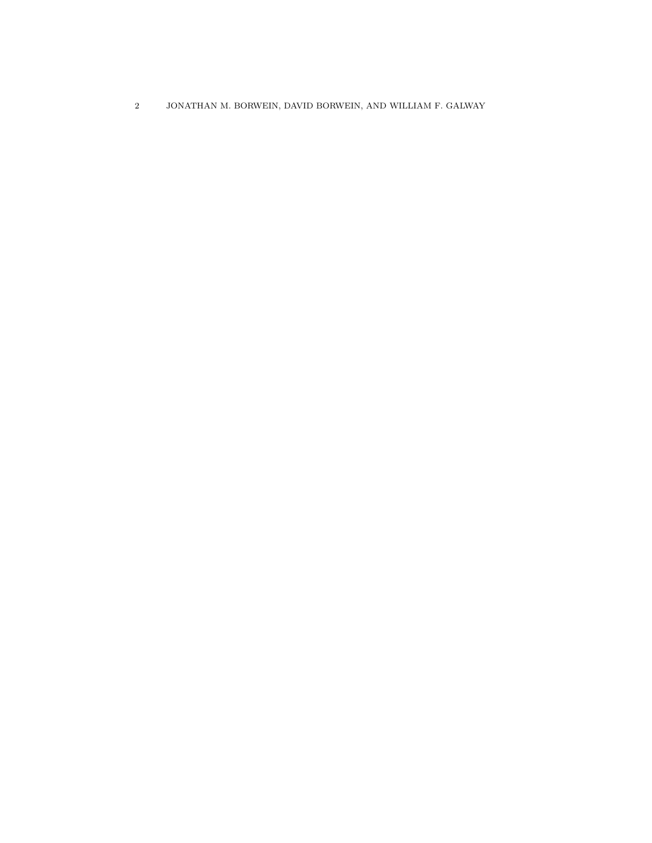2 JONATHAN M. BORWEIN, DAVID BORWEIN, AND WILLIAM F. GALWAY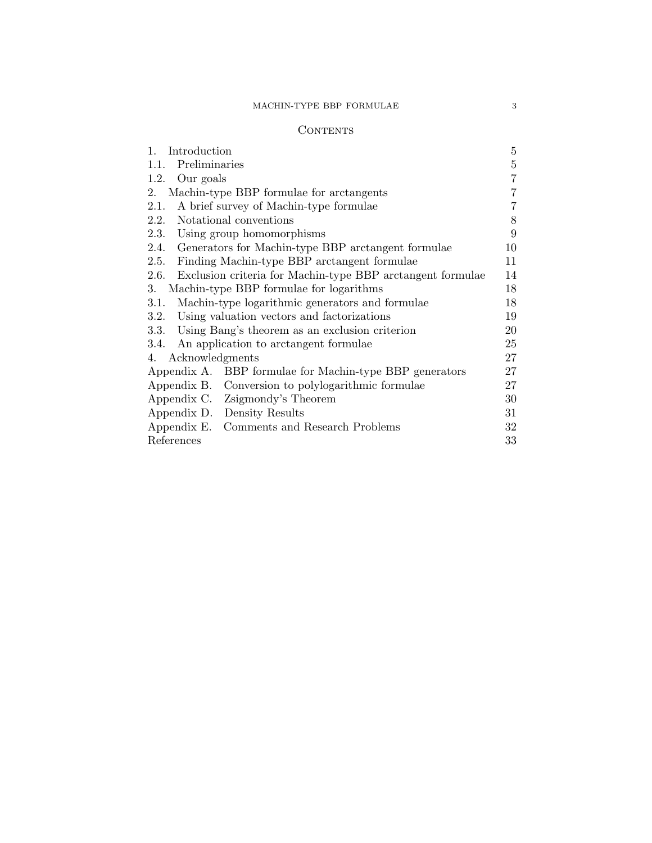# $\begin{minipage}{.4\linewidth} \textbf{MACHIN-TYPE } BBP \textbf{ FORMULAE} \end{minipage}$

# CONTENTS

| Introduction<br>$1 \quad$                                          | $\bf 5$        |
|--------------------------------------------------------------------|----------------|
| Preliminaries<br>1.1.                                              | $\overline{5}$ |
| 1.2.<br>Our goals                                                  | 7              |
| Machin-type BBP formulae for arctangents<br>2.                     | 7              |
| A brief survey of Machin-type formulae<br>2.1.                     |                |
| Notational conventions<br>2.2.                                     | 8              |
| 2.3.<br>Using group homomorphisms                                  | 9              |
| 2.4. Generators for Machin-type BBP arctangent formulae            | 10             |
| Finding Machin-type BBP arctangent formulae<br>2.5.                | 11             |
| 2.6.<br>Exclusion criteria for Machin-type BBP arctangent formulae | 14             |
| Machin-type BBP formulae for logarithms<br>3.                      | 18             |
| Machin-type logarithmic generators and formulae<br>3.1.            | 18             |
| Using valuation vectors and factorizations<br>3.2.                 | 19             |
| 3.3. Using Bang's theorem as an exclusion criterion                | 20             |
| 3.4. An application to arctangent formulae                         | 25             |
| Acknowledgments<br>4.                                              | 27             |
| Appendix A. BBP formulae for Machin-type BBP generators            | 27             |
| Appendix B. Conversion to polylogarithmic formulae                 | 27             |
| Appendix C. Zsigmondy's Theorem                                    | 30             |
| Appendix D. Density Results                                        | 31             |
| Appendix E. Comments and Research Problems                         | 32             |
| References                                                         | 33             |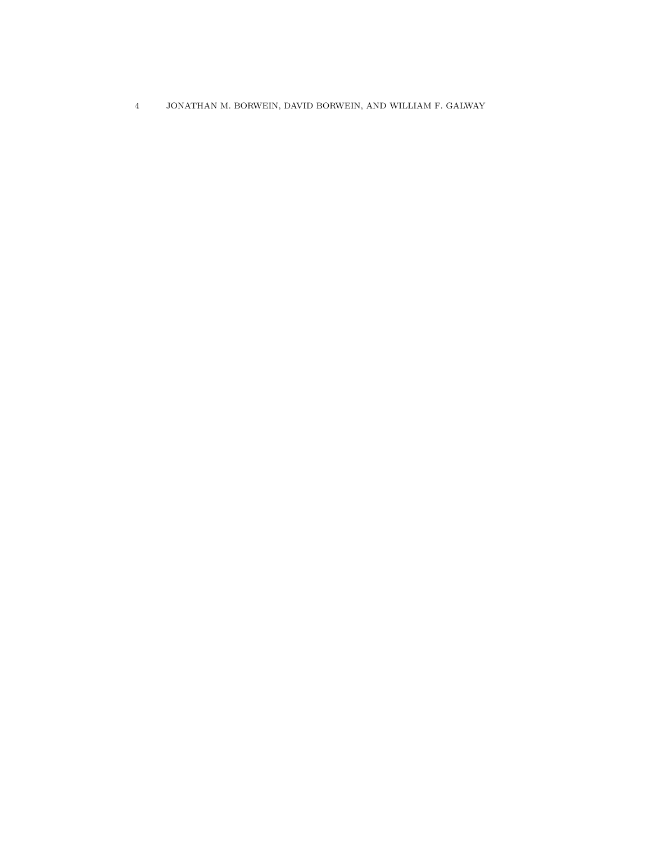4 JONATHAN M. BORWEIN, DAVID BORWEIN, AND WILLIAM F. GALWAY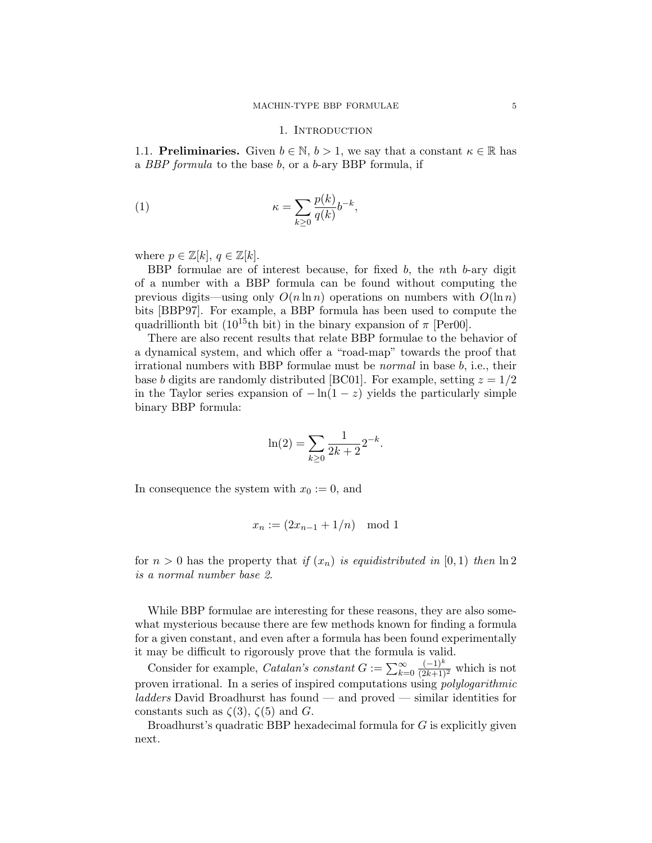### 1. INTRODUCTION

<span id="page-4-1"></span><span id="page-4-0"></span>1.1. **Preliminaries.** Given  $b \in \mathbb{N}$ ,  $b > 1$ , we say that a constant  $\kappa \in \mathbb{R}$  has a BBP formula to the base b, or a b-ary BBP formula, if

(1) 
$$
\kappa = \sum_{k\geq 0} \frac{p(k)}{q(k)} b^{-k},
$$

where  $p \in \mathbb{Z}[k], q \in \mathbb{Z}[k].$ 

BBP formulae are of interest because, for fixed  $b$ , the nth  $b$ -ary digit of a number with a BBP formula can be found without computing the previous digits—using only  $O(n \ln n)$  operations on numbers with  $O(\ln n)$ bits [\[BBP97\]](#page-32-1). For example, a BBP formula has been used to compute the quadrillionth bit (10<sup>15</sup>th bit) in the binary expansion of  $\pi$  [\[Per00\]](#page-33-0).

There are also recent results that relate BBP formulae to the behavior of a dynamical system, and which offer a "road-map" towards the proof that irrational numbers with BBP formulae must be normal in base b, i.e., their base b digits are randomly distributed [\[BC01\]](#page-32-2). For example, setting  $z = 1/2$ in the Taylor series expansion of  $-\ln(1-z)$  yields the particularly simple binary BBP formula:

$$
\ln(2) = \sum_{k \ge 0} \frac{1}{2k+2} 2^{-k}.
$$

In consequence the system with  $x_0 := 0$ , and

$$
x_n := (2x_{n-1} + 1/n) \mod 1
$$

for  $n > 0$  has the property that if  $(x_n)$  is equidistributed in [0, 1] then  $\ln 2$ is a normal number base 2.

While BBP formulae are interesting for these reasons, they are also somewhat mysterious because there are few methods known for finding a formula for a given constant, and even after a formula has been found experimentally it may be difficult to rigorously prove that the formula is valid.

Consider for example, *Catalan's constant*  $G := \sum_{k=0}^{\infty}$  $\frac{(-1)^k}{(2k+1)^2}$  which is not proven irrational. In a series of inspired computations using *polylogarithmic* ladders David Broadhurst has found — and proved — similar identities for constants such as  $\zeta(3)$ ,  $\zeta(5)$  and G.

Broadhurst's quadratic BBP hexadecimal formula for  $G$  is explicitly given next.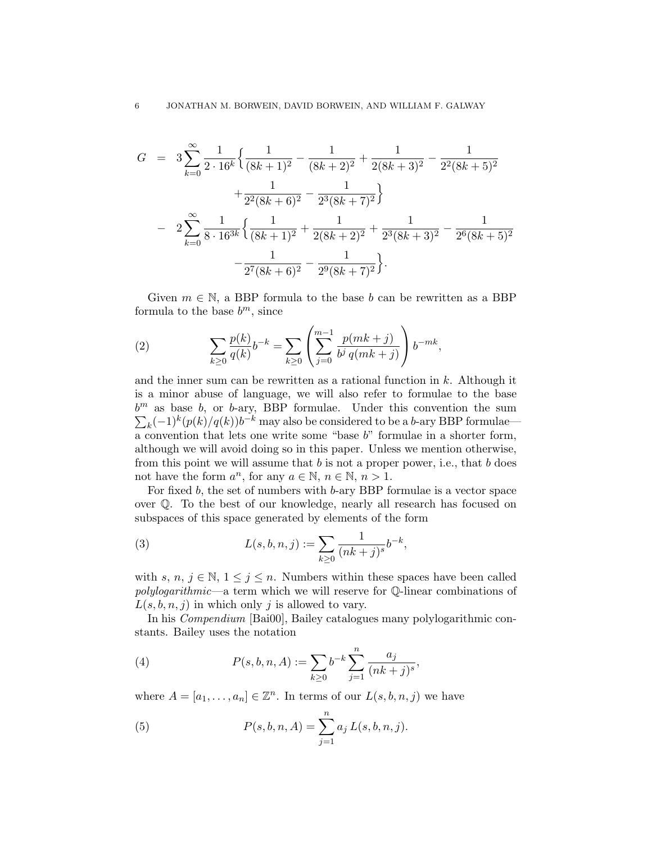$$
G = 3 \sum_{k=0}^{\infty} \frac{1}{2 \cdot 16^k} \left\{ \frac{1}{(8k+1)^2} - \frac{1}{(8k+2)^2} + \frac{1}{2(8k+3)^2} - \frac{1}{2^2(8k+5)^2} + \frac{1}{2^2(8k+6)^2} - \frac{1}{2^3(8k+7)^2} \right\}
$$
  
- 
$$
2 \sum_{k=0}^{\infty} \frac{1}{8 \cdot 16^{3k}} \left\{ \frac{1}{(8k+1)^2} + \frac{1}{2(8k+2)^2} + \frac{1}{2^3(8k+3)^2} - \frac{1}{2^6(8k+5)^2} - \frac{1}{2^7(8k+6)^2} - \frac{1}{2^9(8k+7)^2} \right\}.
$$

Given  $m \in \mathbb{N}$ , a BBP formula to the base b can be rewritten as a BBP formula to the base  $b^m$ , since

(2) 
$$
\sum_{k\geq 0} \frac{p(k)}{q(k)} b^{-k} = \sum_{k\geq 0} \left( \sum_{j=0}^{m-1} \frac{p(mk+j)}{b^j q(mk+j)} \right) b^{-mk},
$$

and the inner sum can be rewritten as a rational function in  $k$ . Although it is a minor abuse of language, we will also refer to formulae to the base  $b<sup>m</sup>$  as base b, or b-ary, BBP formulae. Under this convention the sum  $\sum_{k}(-1)^{k}(p(k)/q(k))b^{-k}$  may also be considered to be a b-ary BBP formulae—  $\overline{a}$  convention that lets one write some "base b" formulae in a shorter form, although we will avoid doing so in this paper. Unless we mention otherwise, from this point we will assume that  $b$  is not a proper power, i.e., that  $b$  does not have the form  $a^n$ , for any  $a \in \mathbb{N}$ ,  $n \in \mathbb{N}$ ,  $n > 1$ .

For fixed b, the set of numbers with b-ary BBP formulae is a vector space over Q. To the best of our knowledge, nearly all research has focused on subspaces of this space generated by elements of the form

<span id="page-5-1"></span>(3) 
$$
L(s, b, n, j) := \sum_{k \geq 0} \frac{1}{(nk + j)^s} b^{-k},
$$

with s,  $n, j \in \mathbb{N}, 1 \leq j \leq n$ . Numbers within these spaces have been called polylogarithmic—a term which we will reserve for Q-linear combinations of  $L(s, b, n, j)$  in which only j is allowed to vary.

<span id="page-5-0"></span>In his Compendium [\[Bai00\]](#page-32-0), Bailey catalogues many polylogarithmic constants. Bailey uses the notation

(4) 
$$
P(s, b, n, A) := \sum_{k \geq 0} b^{-k} \sum_{j=1}^{n} \frac{a_j}{(nk+j)^s},
$$

where  $A = [a_1, \ldots, a_n] \in \mathbb{Z}^n$ . In terms of our  $L(s, b, n, j)$  we have

(5) 
$$
P(s, b, n, A) = \sum_{j=1}^{n} a_j L(s, b, n, j).
$$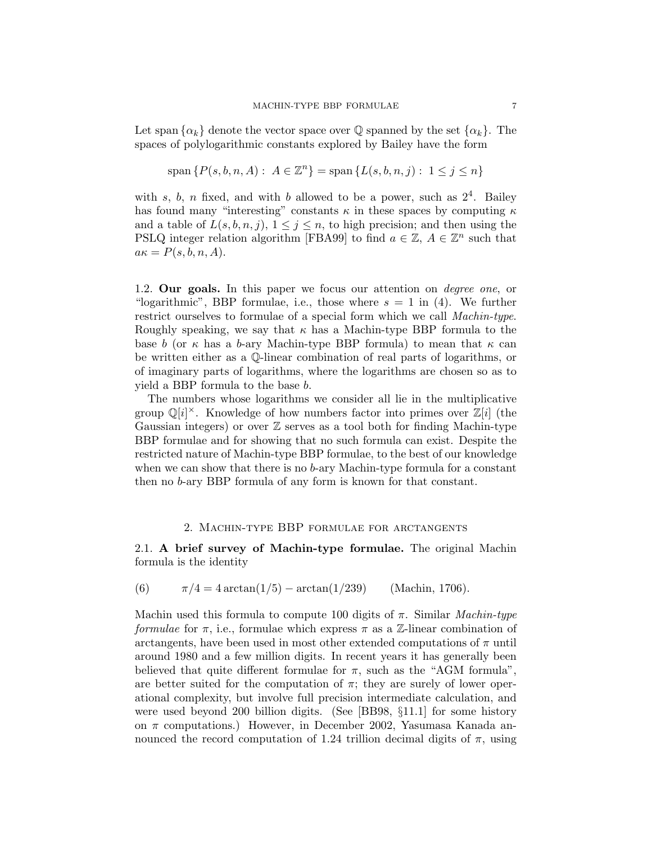Let span  $\{\alpha_k\}$  denote the vector space over Q spanned by the set  $\{\alpha_k\}$ . The spaces of polylogarithmic constants explored by Bailey have the form

$$
\text{span}\{P(s, b, n, A): A \in \mathbb{Z}^n\} = \text{span}\{L(s, b, n, j): 1 \le j \le n\}
$$

with s, b, n fixed, and with b allowed to be a power, such as  $2^4$ . Bailey has found many "interesting" constants  $\kappa$  in these spaces by computing  $\kappa$ and a table of  $L(s, b, n, j)$ ,  $1 \leq j \leq n$ , to high precision; and then using the PSLQ integer relation algorithm [\[FBA99\]](#page-33-1) to find  $a \in \mathbb{Z}$ ,  $A \in \mathbb{Z}^n$  such that  $a\kappa = P(s, b, n, A).$ 

<span id="page-6-0"></span>1.2. Our goals. In this paper we focus our attention on degree one, or "logarithmic", BBP formulae, i.e., those where  $s = 1$  in [\(4\)](#page-5-0). We further restrict ourselves to formulae of a special form which we call Machin-type. Roughly speaking, we say that  $\kappa$  has a Machin-type BBP formula to the base b (or  $\kappa$  has a b-ary Machin-type BBP formula) to mean that  $\kappa$  can be written either as a Q-linear combination of real parts of logarithms, or of imaginary parts of logarithms, where the logarithms are chosen so as to yield a BBP formula to the base b.

The numbers whose logarithms we consider all lie in the multiplicative group  $\mathbb{Q}[i]^\times$ . Knowledge of how numbers factor into primes over  $\mathbb{Z}[i]$  (the Gaussian integers) or over  $\mathbb Z$  serves as a tool both for finding Machin-type BBP formulae and for showing that no such formula can exist. Despite the restricted nature of Machin-type BBP formulae, to the best of our knowledge when we can show that there is no b-ary Machin-type formula for a constant then no b-ary BBP formula of any form is known for that constant.

#### <span id="page-6-3"></span>2. Machin-type BBP formulae for arctangents

<span id="page-6-2"></span><span id="page-6-1"></span>2.1. A brief survey of Machin-type formulae. The original Machin formula is the identity

(6)  $\pi/4 = 4 \arctan(1/5) - \arctan(1/239)$  (Machin, 1706).

Machin used this formula to compute 100 digits of  $\pi$ . Similar *Machin-type* formulae for  $\pi$ , i.e., formulae which express  $\pi$  as a Z-linear combination of arctangents, have been used in most other extended computations of  $\pi$  until around 1980 and a few million digits. In recent years it has generally been believed that quite different formulae for  $\pi$ , such as the "AGM formula", are better suited for the computation of  $\pi$ ; they are surely of lower operational complexity, but involve full precision intermediate calculation, and were used beyond 200 billion digits. (See [\[BB98,](#page-32-3) §11.1] for some history on  $\pi$  computations.) However, in December 2002, Yasumasa Kanada announced the record computation of 1.24 trillion decimal digits of  $\pi$ , using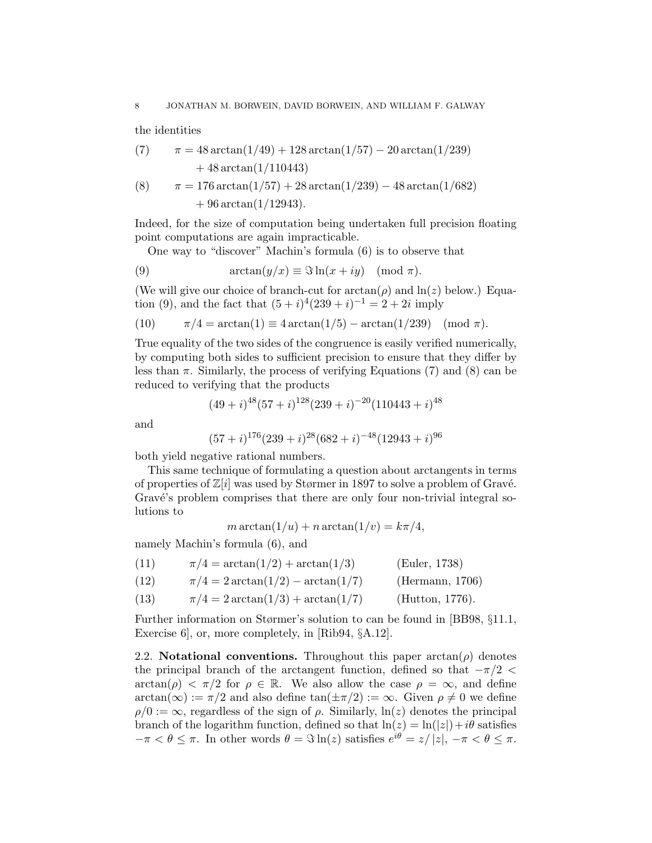the identities

<span id="page-7-2"></span>(7) 
$$
\pi = 48 \arctan(1/49) + 128 \arctan(1/57) - 20 \arctan(1/239) + 48 \arctan(1/110443)
$$

<span id="page-7-3"></span>(8) 
$$
\pi = 176 \arctan(1/57) + 28 \arctan(1/239) - 48 \arctan(1/682) + 96 \arctan(1/12943).
$$

Indeed, for the size of computation being undertaken full precision floating point computations are again impracticable.

One way to "discover" Machin's formula [\(6\)](#page-6-3) is to observe that

(9) 
$$
\arctan(y/x) \equiv \Im \ln(x+iy) \pmod{\pi}.
$$

(We will give our choice of branch-cut for  $arctan(\rho)$  and  $ln(z)$  below.) Equa-tion [\(9\)](#page-7-1), and the fact that  $(5+i)^4(239+i)^{-1} = 2+2i$  imply

(10) 
$$
\pi/4 = \arctan(1) \equiv 4 \arctan(1/5) - \arctan(1/239) \pmod{\pi}.
$$

True equality of the two sides of the congruence is easily verified numerically, by computing both sides to sufficient precision to ensure that they differ by less than  $\pi$ . Similarly, the process of verifying Equations [\(7\)](#page-7-2) and [\(8\)](#page-7-3) can be reduced to verifying that the products

<span id="page-7-4"></span><span id="page-7-1"></span>
$$
(49+i)^{48}(57+i)^{128}(239+i)^{-20}(110443+i)^{48}
$$

and

$$
(57+i)^{176}(239+i)^{28}(682+i)^{-48}(12943+i)^{96}
$$

both yield negative rational numbers.

This same technique of formulating a question about arctangents in terms of properties of  $\mathbb{Z}[i]$  was used by Størmer in 1897 to solve a problem of Gravé. Gravé's problem comprises that there are only four non-trivial integral solutions to

$$
m \arctan(1/u) + n \arctan(1/v) = k\pi/4,
$$

namely Machin's formula [\(6\)](#page-6-3), and

- <span id="page-7-5"></span>(11)  $\pi/4 = \arctan(1/2) + \arctan(1/3)$  (Euler, 1738)
- <span id="page-7-7"></span>(12)  $\pi/4 = 2 \arctan(1/2) - \arctan(1/7)$  (Hermann, 1706)
- <span id="page-7-6"></span>(13)  $\pi/4 = 2 \arctan(1/3) + \arctan(1/7)$  (Hutton, 1776).

Further information on Størmer's solution to can be found in [\[BB98,](#page-32-3) §11.1, Exercise 6], or, more completely, in [\[Rib94,](#page-33-2) §A.12].

<span id="page-7-0"></span>2.2. Notational conventions. Throughout this paper  $arctan(\rho)$  denotes the principal branch of the arctangent function, defined so that  $-\pi/2$  <  $arctan(\rho) < \pi/2$  for  $\rho \in \mathbb{R}$ . We also allow the case  $\rho = \infty$ , and define  $arctan(\infty) := \pi/2$  and also define  $tan(\pm \pi/2) := \infty$ . Given  $\rho \neq 0$  we define  $\rho/0 := \infty$ , regardless of the sign of  $\rho$ . Similarly,  $\ln(z)$  denotes the principal branch of the logarithm function, defined so that  $ln(z) = ln(|z|) + i\theta$  satisfies  $-\pi < \theta \leq \pi$ . In other words  $\theta = \Im \ln(z)$  satisfies  $e^{i\theta} = z/|z|, -\pi < \theta \leq \pi$ .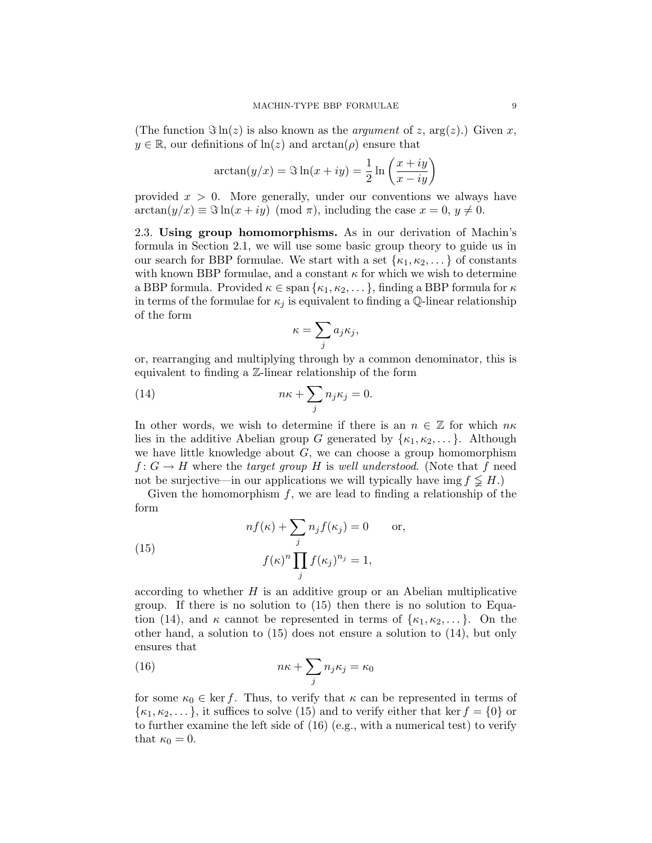(The function  $\Im \ln(z)$  is also known as the *argument* of z,  $\arg(z)$ .) Given x,  $y \in \mathbb{R}$ , our definitions of  $\ln(z)$  and  $\arctan(\rho)$  ensure that

$$
\arctan(y/x) = \Im \ln(x+iy) = \frac{1}{2} \ln \left( \frac{x+iy}{x-iy} \right)
$$

provided  $x > 0$ . More generally, under our conventions we always have  $arctan(y/x) \equiv \Im \ln(x + iy) \pmod{\pi}$ , including the case  $x = 0, y \neq 0$ .

<span id="page-8-0"></span>2.3. Using group homomorphisms. As in our derivation of Machin's formula in Section [2.1,](#page-6-2) we will use some basic group theory to guide us in our search for BBP formulae. We start with a set  $\{\kappa_1, \kappa_2, \dots\}$  of constants with known BBP formulae, and a constant  $\kappa$  for which we wish to determine a BBP formula. Provided  $\kappa \in \text{span}\{\kappa_1, \kappa_2, \dots\}$ , finding a BBP formula for  $\kappa$ in terms of the formulae for  $\kappa_i$  is equivalent to finding a Q-linear relationship of the form

<span id="page-8-2"></span>
$$
\kappa = \sum_j a_j \kappa_j,
$$

or, rearranging and multiplying through by a common denominator, this is equivalent to finding a Z-linear relationship of the form

(14) 
$$
n\kappa + \sum_j n_j \kappa_j = 0.
$$

In other words, we wish to determine if there is an  $n \in \mathbb{Z}$  for which  $n\kappa$ lies in the additive Abelian group G generated by  $\{\kappa_1, \kappa_2, \dots\}$ . Although we have little knowledge about  $G$ , we can choose a group homomorphism  $f: G \to H$  where the target group H is well understood. (Note that f need not be surjective—in our applications we will typically have img  $f \subsetneq H$ .)

<span id="page-8-1"></span>Given the homomorphism  $f$ , we are lead to finding a relationship of the form

(15) 
$$
nf(\kappa) + \sum_{j} n_j f(\kappa_j) = 0 \quad \text{or,}
$$

$$
f(\kappa)^n \prod_{j} f(\kappa_j)^{n_j} = 1,
$$

according to whether  $H$  is an additive group or an Abelian multiplicative group. If there is no solution to [\(15\)](#page-8-1) then there is no solution to Equa-tion [\(14\)](#page-8-2), and  $\kappa$  cannot be represented in terms of  $\{\kappa_1, \kappa_2, \dots\}$ . On the other hand, a solution to [\(15\)](#page-8-1) does not ensure a solution to [\(14\)](#page-8-2), but only ensures that

<span id="page-8-3"></span>(16) 
$$
n\kappa + \sum_j n_j \kappa_j = \kappa_0
$$

for some  $\kappa_0 \in \text{ker } f$ . Thus, to verify that  $\kappa$  can be represented in terms of  $\{\kappa_1,\kappa_2,\dots\}$ , it suffices to solve [\(15\)](#page-8-1) and to verify either that ker  $f = \{0\}$  or to further examine the left side of [\(16\)](#page-8-3) (e.g., with a numerical test) to verify that  $\kappa_0 = 0$ .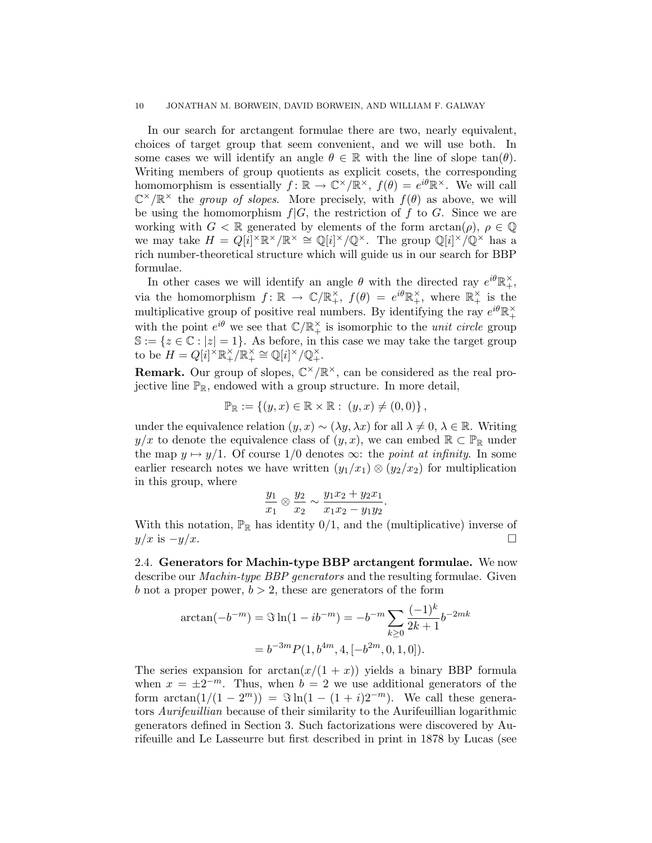#### 10 JONATHAN M. BORWEIN, DAVID BORWEIN, AND WILLIAM F. GALWAY

In our search for arctangent formulae there are two, nearly equivalent, choices of target group that seem convenient, and we will use both. In some cases we will identify an angle  $\theta \in \mathbb{R}$  with the line of slope  $tan(\theta)$ . Writing members of group quotients as explicit cosets, the corresponding homomorphism is essentially  $f: \mathbb{R} \to \mathbb{C}^{\times}/\mathbb{R}^{\times}$ ,  $f(\theta) = e^{i\theta} \mathbb{R}^{\times}$ . We will call  $\mathbb{C}^\times/\mathbb{R}^\times$  the group of slopes. More precisely, with  $f(\theta)$  as above, we will be using the homomorphism  $f|G$ , the restriction of f to G. Since we are working with  $G < \mathbb{R}$  generated by elements of the form  $arctan(\rho)$ ,  $\rho \in \mathbb{Q}$ we may take  $H = Q[i]^{\times} \mathbb{R}^{\times}/\mathbb{R}^{\times} \cong \mathbb{Q}[i]^{\times}/\mathbb{Q}^{\times}$ . The group  $\mathbb{Q}[i]^{\times}/\mathbb{Q}^{\times}$  has a rich number-theoretical structure which will guide us in our search for BBP formulae.

In other cases we will identify an angle  $\theta$  with the directed ray  $e^{i\theta} \mathbb{R}^{\times}_+$ , via the homomorphism  $f: \mathbb{R} \to \mathbb{C}/\mathbb{R}^{\times}_+$ ,  $f(\theta) = e^{i\theta} \mathbb{R}^{\times}_+$ , where  $\mathbb{R}^{\times}_+$  is the multiplicative group of positive real numbers. By identifying the ray  $e^{i\theta} \mathbb{R}^\times_+$ with the point  $e^{i\theta}$  we see that  $\mathbb{C}/\mathbb{R}_+^{\times}$  is isomorphic to the *unit circle* group  $\mathbb{S} := \{z \in \mathbb{C} : |z| = 1\}.$  As before, in this case we may take the target group to be  $H = Q[i] \times \mathbb{R}_+^{\times}/\mathbb{R}_+^{\times} \cong \mathbb{Q}[i] \times / \mathbb{Q}_+^{\times}$ .

**Remark.** Our group of slopes,  $\mathbb{C}^{\times}/\mathbb{R}^{\times}$ , can be considered as the real projective line  $\mathbb{P}_{\mathbb{R}}$ , endowed with a group structure. In more detail,

$$
\mathbb{P}_{\mathbb{R}} := \{ (y, x) \in \mathbb{R} \times \mathbb{R} : (y, x) \neq (0, 0) \},
$$

under the equivalence relation  $(y, x) \sim (\lambda y, \lambda x)$  for all  $\lambda \neq 0, \lambda \in \mathbb{R}$ . Writing y/x to denote the equivalence class of  $(y, x)$ , we can embed  $\mathbb{R} \subset \mathbb{P}_{\mathbb{R}}$  under the map  $y \mapsto y/1$ . Of course 1/0 denotes  $\infty$ : the *point at infinity*. In some earlier research notes we have written  $(y_1/x_1) \otimes (y_2/x_2)$  for multiplication in this group, where

$$
\frac{y_1}{x_1} \otimes \frac{y_2}{x_2} \sim \frac{y_1 x_2 + y_2 x_1}{x_1 x_2 - y_1 y_2}
$$

.

With this notation,  $\mathbb{P}_{\mathbb{R}}$  has identity  $0/1$ , and the (multiplicative) inverse of  $y/x$  is  $-y/x$ .

<span id="page-9-0"></span>2.4. Generators for Machin-type BBP arctangent formulae. We now describe our Machin-type BBP generators and the resulting formulae. Given b not a proper power,  $b > 2$ , these are generators of the form

$$
\arctan(-b^{-m}) = \Im \ln(1 - ib^{-m}) = -b^{-m} \sum_{k \ge 0} \frac{(-1)^k}{2k + 1} b^{-2mk}
$$

$$
= b^{-3m} P(1, b^{4m}, 4, [-b^{2m}, 0, 1, 0]).
$$

The series expansion for  $arctan(x/(1 + x))$  yields a binary BBP formula when  $x = \pm 2^{-m}$ . Thus, when  $b = 2$  we use additional generators of the form  $\arctan(1/(1-2^m)) = \Im \ln(1-(1+i)2^{-m})$ . We call these generators Aurifeuillian because of their similarity to the Aurifeuillian logarithmic generators defined in Section [3.](#page-17-0) Such factorizations were discovered by Aurifeuille and Le Lasseurre but first described in print in 1878 by Lucas (see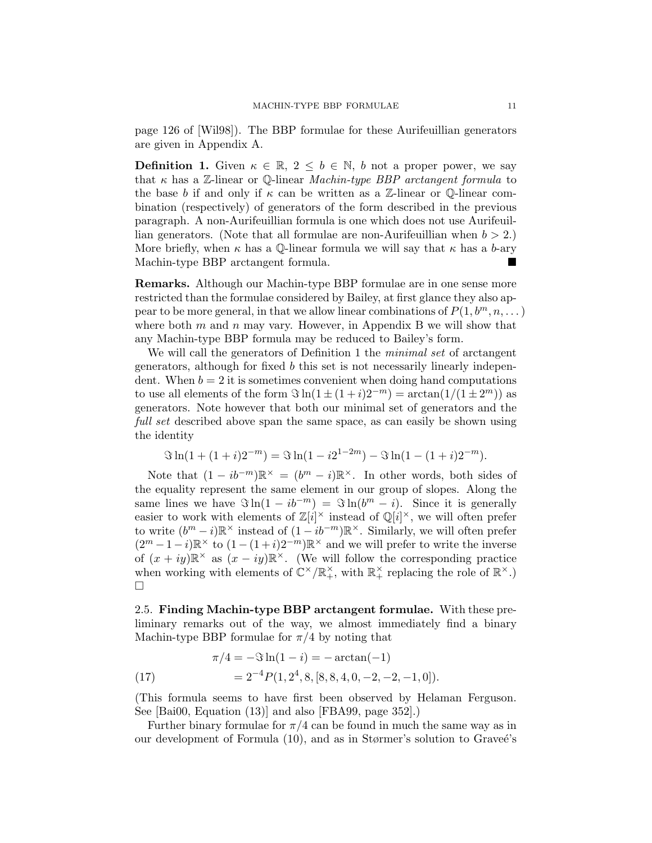page 126 of [\[Wil98\]](#page-33-3)). The BBP formulae for these Aurifeuillian generators are given in Appendix [A.](#page-26-1)

<span id="page-10-1"></span>**Definition 1.** Given  $\kappa \in \mathbb{R}$ ,  $2 \leq b \in \mathbb{N}$ , b not a proper power, we say that  $\kappa$  has a Z-linear or Q-linear *Machin-type BBP* arctangent formula to the base b if and only if  $\kappa$  can be written as a Z-linear or Q-linear combination (respectively) of generators of the form described in the previous paragraph. A non-Aurifeuillian formula is one which does not use Aurifeuillian generators. (Note that all formulae are non-Aurifeuillian when  $b > 2$ .) More briefly, when  $\kappa$  has a Q-linear formula we will say that  $\kappa$  has a b-ary Machin-type BBP arctangent formula.

Remarks. Although our Machin-type BBP formulae are in one sense more restricted than the formulae considered by Bailey, at first glance they also appear to be more general, in that we allow linear combinations of  $P(1, b^m, n, \dots)$ where both  $m$  and  $n$  may vary. However, in Appendix [B](#page-26-2) we will show that any Machin-type BBP formula may be reduced to Bailey's form.

We will call the generators of Definition [1](#page-10-1) the *minimal set* of arctangent generators, although for fixed b this set is not necessarily linearly independent. When  $b = 2$  it is sometimes convenient when doing hand computations to use all elements of the form  $\Im \ln(1 \pm (1 + i)2^{-m}) = \arctan(1/(1 \pm 2^m))$  as generators. Note however that both our minimal set of generators and the full set described above span the same space, as can easily be shown using the identity

$$
\Im \ln(1 + (1+i)2^{-m}) = \Im \ln(1 - i2^{1-2m}) - \Im \ln(1 - (1+i)2^{-m}).
$$

Note that  $(1 - ib^{-m})\mathbb{R}^{\times} = (b^{m} - i)\mathbb{R}^{\times}$ . In other words, both sides of the equality represent the same element in our group of slopes. Along the same lines we have  $\Im \ln(1 - ib^{-m}) = \Im \ln(b^m - i)$ . Since it is generally easier to work with elements of  $\mathbb{Z}[i]^{\times}$  instead of  $\mathbb{Q}[i]^{\times}$ , we will often prefer to write  $(b^m - i)\mathbb{R}^\times$  instead of  $(1 - ib^{-m})\mathbb{R}^\times$ . Similarly, we will often prefer  $(2^m-1-i)\mathbb{R}^\times$  to  $(1-(1+i)2^{-m})\mathbb{R}^\times$  and we will prefer to write the inverse of  $(x+iy) \mathbb{R}^\times$  as  $(x-iy) \mathbb{R}^\times$ . (We will follow the corresponding practice when working with elements of  $\mathbb{C}^{\times}/\mathbb{R}^{\times}_{+}$ , with  $\mathbb{R}^{\times}_{+}$  replacing the role of  $\mathbb{R}^{\times}$ .)  $\Box$ 

<span id="page-10-0"></span>2.5. Finding Machin-type BBP arctangent formulae. With these preliminary remarks out of the way, we almost immediately find a binary Machin-type BBP formulae for  $\pi/4$  by noting that

(17) 
$$
\pi/4 = -\Im \ln(1 - i) = -\arctan(-1)
$$

$$
= 2^{-4} P(1, 2^4, 8, [8, 8, 4, 0, -2, -2, -1, 0]).
$$

(This formula seems to have first been observed by Helaman Ferguson. See [\[Bai00,](#page-32-0) Equation (13)] and also [\[FBA99,](#page-33-1) page 352].)

Further binary formulae for  $\pi/4$  can be found in much the same way as in our development of Formula  $(10)$ , and as in Størmer's solution to Gravee's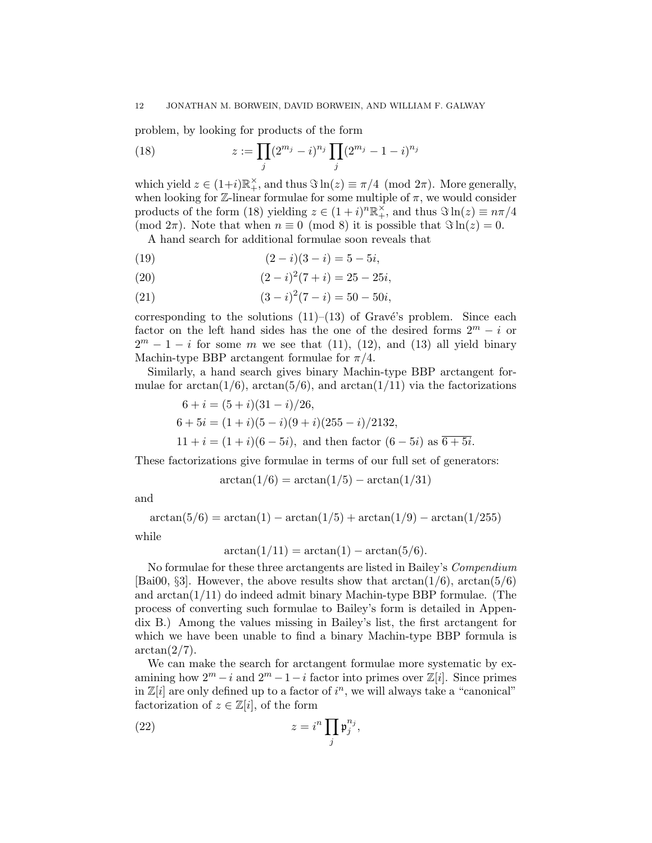<span id="page-11-0"></span>problem, by looking for products of the form

(18) 
$$
z := \prod_j (2^{m_j} - i)^{n_j} \prod_j (2^{m_j} - 1 - i)^{n_j}
$$

which yield  $z \in (1+i)\mathbb{R}^{\times}_+$ , and thus  $\Im \ln(z) \equiv \pi/4 \pmod{2\pi}$ . More generally, when looking for  $\mathbb{Z}$ -linear formulae for some multiple of  $\pi$ , we would consider products of the form [\(18\)](#page-11-0) yielding  $z \in (1+i)^n \mathbb{R}^{\times}$ , and thus  $\Im \ln(z) \equiv n\pi/4$ (mod  $2\pi$ ). Note that when  $n \equiv 0 \pmod{8}$  it is possible that  $\Im \ln(z) = 0$ .

A hand search for additional formulae soon reveals that

<span id="page-11-2"></span>(19) 
$$
(2-i)(3-i) = 5-5i,
$$

(20) 
$$
(2-i)^2(7+i) = 25 - 25i,
$$

<span id="page-11-3"></span>(21) 
$$
(3-i)^2(7-i) = 50 - 50i,
$$

corresponding to the solutions  $(11)–(13)$  $(11)–(13)$  $(11)–(13)$  of Gravé's problem. Since each factor on the left hand sides has the one of the desired forms  $2^m - i$  or  $2^m - 1 - i$  for some m we see that [\(11\)](#page-7-5), [\(12\)](#page-7-7), and [\(13\)](#page-7-6) all yield binary Machin-type BBP arctangent formulae for  $\pi/4$ .

Similarly, a hand search gives binary Machin-type BBP arctangent formulae for  $arctan(1/6)$ ,  $arctan(5/6)$ , and  $arctan(1/11)$  via the factorizations

$$
6 + i = (5 + i)(31 - i)/26,
$$
  
\n
$$
6 + 5i = (1 + i)(5 - i)(9 + i)(255 - i)/2132,
$$
  
\n
$$
11 + i = (1 + i)(6 - 5i),
$$
 and then factor  $(6 - 5i)$  as  $\overline{6 + 5i}$ .

These factorizations give formulae in terms of our full set of generators:

$$
\arctan(1/6) = \arctan(1/5) - \arctan(1/31)
$$

and

 $\arctan(5/6) = \arctan(1) - \arctan(1/5) + \arctan(1/9) - \arctan(1/255)$ 

while

<span id="page-11-1"></span>
$$
\arctan(1/11) = \arctan(1) - \arctan(5/6).
$$

No formulae for these three arctangents are listed in Bailey's Compendium [\[Bai00,](#page-32-0)  $\S3$ ]. However, the above results show that  $arctan(1/6)$ ,  $arctan(5/6)$ and  $arctan(1/11)$  do indeed admit binary Machin-type BBP formulae. (The process of converting such formulae to Bailey's form is detailed in Appendix [B.](#page-26-2)) Among the values missing in Bailey's list, the first arctangent for which we have been unable to find a binary Machin-type BBP formula is  $arctan(2/7)$ .

We can make the search for arctangent formulae more systematic by examining how  $2^m - i$  and  $2^m - 1 - i$  factor into primes over  $\mathbb{Z}[i]$ . Since primes in  $\mathbb{Z}[i]$  are only defined up to a factor of  $i^n$ , we will always take a "canonical" factorization of  $z \in \mathbb{Z}[i]$ , of the form

(22) 
$$
z = i^n \prod_j \mathfrak{p}_j^{n_j},
$$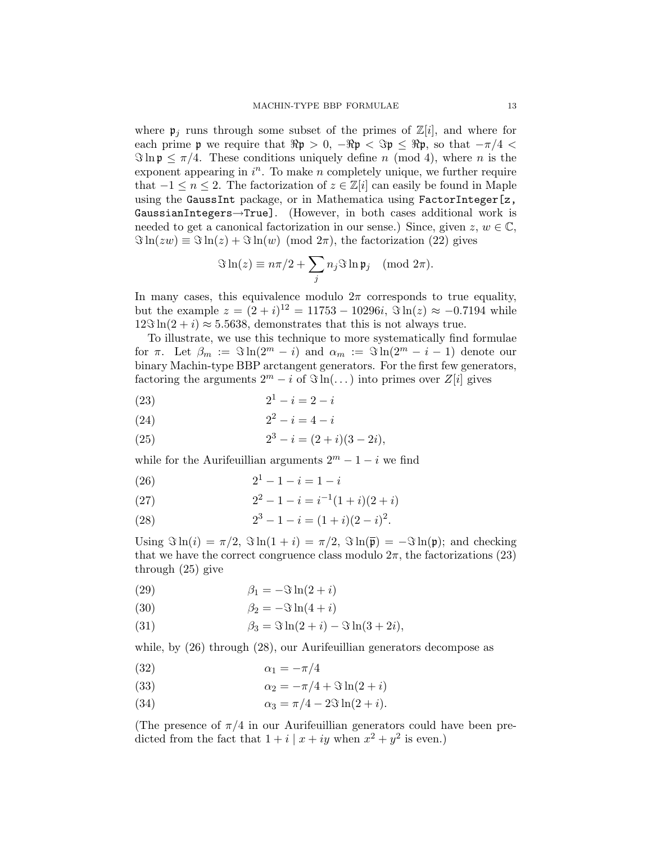where  $\mathfrak{p}_i$  runs through some subset of the primes of  $\mathbb{Z}[i]$ , and where for each prime **p** we require that  $\Re p > 0$ ,  $-\Re p < \Im p \le \Re p$ , so that  $-\pi/4 <$  $\Im \ln p \leq \pi/4$ . These conditions uniquely define n (mod 4), where n is the exponent appearing in  $i<sup>n</sup>$ . To make n completely unique, we further require that  $-1 \leq n \leq 2$ . The factorization of  $z \in \mathbb{Z}[i]$  can easily be found in Maple using the GaussInt package, or in Mathematica using FactorInteger[z, GaussianIntegers $\rightarrow$ True]. (However, in both cases additional work is needed to get a canonical factorization in our sense.) Since, given  $z, w \in \mathbb{C}$ ,  $\Im \ln(zw) \equiv \Im \ln(z) + \Im \ln(w)$  (mod  $2\pi$ ), the factorization [\(22\)](#page-11-1) gives

$$
\Im \ln(z) \equiv n\pi/2 + \sum_j n_j \Im \ln \mathfrak{p}_j \pmod{2\pi}.
$$

In many cases, this equivalence modulo  $2\pi$  corresponds to true equality, but the example  $z = (2 + i)^{12} = 11753 - 10296i$ ,  $\Im \ln(z) \approx -0.7194$  while  $12\Im \ln(2 + i) \approx 5.5638$ , demonstrates that this is not always true.

To illustrate, we use this technique to more systematically find formulae for  $\pi$ . Let  $\beta_m := \Im \ln(2^m - i)$  and  $\alpha_m := \Im \ln(2^m - i - 1)$  denote our binary Machin-type BBP arctangent generators. For the first few generators, factoring the arguments  $2^m - i$  of  $\Im \ln(\dots)$  into primes over  $Z[i]$  gives

<span id="page-12-0"></span>(23) 
$$
2^1 - i = 2 - i
$$

$$
(24) \qquad \qquad 2^2 - i = 4 - i
$$

<span id="page-12-1"></span>(25) 
$$
2^3 - i = (2 + i)(3 - 2i),
$$

while for the Aurifeuillian arguments  $2^m - 1 - i$  we find

<span id="page-12-2"></span>(26) 
$$
2^1 - 1 - i = 1 - i
$$

(27) 
$$
2^2 - 1 - i = i^{-1}(1+i)(2+i)
$$

<span id="page-12-3"></span>(28) 
$$
2^3 - 1 - i = (1 + i)(2 - i)^2.
$$

Using  $\Im \ln(i) = \pi/2$ ,  $\Im \ln(1 + i) = \pi/2$ ,  $\Im \ln(\bar{\mathfrak{p}}) = -\Im \ln(\mathfrak{p})$ ; and checking that we have the correct congruence class modulo  $2\pi$ , the factorizations [\(23\)](#page-12-0) through [\(25\)](#page-12-1) give

$$
\beta_1 = -\Im \ln(2+i)
$$

$$
\beta_2 = -\Im \ln(4+i)
$$

(31) 
$$
\beta_3 = \Im \ln(2+i) - \Im \ln(3+2i),
$$

while, by [\(26\)](#page-12-2) through [\(28\)](#page-12-3), our Aurifeuillian generators decompose as

$$
\alpha_1 = -\pi/4
$$

(33) 
$$
\alpha_2 = -\pi/4 + \Im \ln(2 + i)
$$

(34)  $\alpha_3 = \pi/4 - 2\Im \ln(2 + i).$ 

(The presence of  $\pi/4$  in our Aurifeuillian generators could have been predicted from the fact that  $1 + i | x + iy$  when  $x^2 + y^2$  is even.)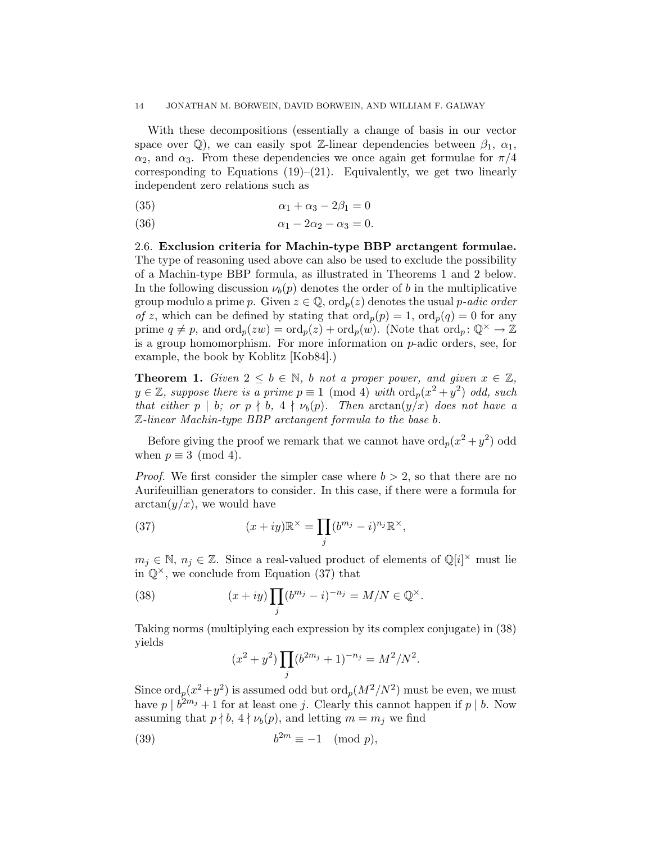#### 14 JONATHAN M. BORWEIN, DAVID BORWEIN, AND WILLIAM F. GALWAY

With these decompositions (essentially a change of basis in our vector space over  $\mathbb{Q}$ ), we can easily spot Z-linear dependencies between  $\beta_1$ ,  $\alpha_1$ ,  $\alpha_2$ , and  $\alpha_3$ . From these dependencies we once again get formulae for  $\pi/4$ corresponding to Equations  $(19)$ – $(21)$ . Equivalently, we get two linearly independent zero relations such as

<span id="page-13-6"></span><span id="page-13-5"></span>
$$
\alpha_1 + \alpha_3 - 2\beta_1 = 0
$$

$$
\alpha_1 - 2\alpha_2 - \alpha_3 = 0.
$$

<span id="page-13-0"></span>2.6. Exclusion criteria for Machin-type BBP arctangent formulae. The type of reasoning used above can also be used to exclude the possibility of a Machin-type BBP formula, as illustrated in Theorems [1](#page-13-1) and [2](#page-15-0) below. In the following discussion  $\nu_b(p)$  denotes the order of b in the multiplicative group modulo a prime p. Given  $z \in \mathbb{Q}$ ,  $\text{ord}_p(z)$  denotes the usual p-adic order of z, which can be defined by stating that  $\text{ord}_p(p) = 1$ ,  $\text{ord}_p(q) = 0$  for any prime  $q \neq p$ , and  $\text{ord}_p(zw) = \text{ord}_p(z) + \text{ord}_p(w)$ . (Note that  $\text{ord}_p: \mathbb{Q}^{\times} \to \mathbb{Z}$ is a group homomorphism. For more information on  $p$ -adic orders, see, for example, the book by Koblitz [\[Kob84\]](#page-33-4).)

<span id="page-13-1"></span>**Theorem 1.** Given  $2 \leq b \in \mathbb{N}$ , b not a proper power, and given  $x \in \mathbb{Z}$ ,  $y \in \mathbb{Z}$ , suppose there is a prime  $p \equiv 1 \pmod{4}$  with  $\text{ord}_p(x^2 + y^2)$  odd, such that either p | b; or p  $\nmid$  b, 4  $\nmid \nu_b(p)$ . Then  $\arctan(y/x)$  does not have a Z-linear Machin-type BBP arctangent formula to the base b.

Before giving the proof we remark that we cannot have  $\mathrm{ord}_p(x^2+y^2)$  odd when  $p \equiv 3 \pmod{4}$ .

<span id="page-13-2"></span>*Proof.* We first consider the simpler case where  $b > 2$ , so that there are no Aurifeuillian generators to consider. In this case, if there were a formula for  $arctan(y/x)$ , we would have

(37) 
$$
(x+iy)\mathbb{R}^{\times} = \prod_{j} (b^{m_j} - i)^{n_j} \mathbb{R}^{\times},
$$

 $m_j \in \mathbb{N}, n_j \in \mathbb{Z}$ . Since a real-valued product of elements of  $\mathbb{Q}[i]^\times$  must lie in  $\mathbb{Q}^{\times}$ , we conclude from Equation [\(37\)](#page-13-2) that

(38) 
$$
(x+iy)\prod_j (b^{m_j}-i)^{-n_j}=M/N\in\mathbb{Q}^\times.
$$

Taking norms (multiplying each expression by its complex conjugate) in [\(38\)](#page-13-3) yields

<span id="page-13-4"></span><span id="page-13-3"></span>
$$
(x^{2} + y^{2}) \prod_{j} (b^{2m_{j}} + 1)^{-n_{j}} = M^{2}/N^{2}.
$$

Since  $\mathrm{ord}_p(x^2+y^2)$  is assumed odd but  $\mathrm{ord}_p(M^2/N^2)$  must be even, we must have  $p \mid b^{2m_j} + 1$  for at least one j. Clearly this cannot happen if  $p \mid b$ . Now assuming that  $p \nmid b$ ,  $4 \nmid \nu_b(p)$ , and letting  $m = m_i$  we find

(39) 
$$
b^{2m} \equiv -1 \pmod{p},
$$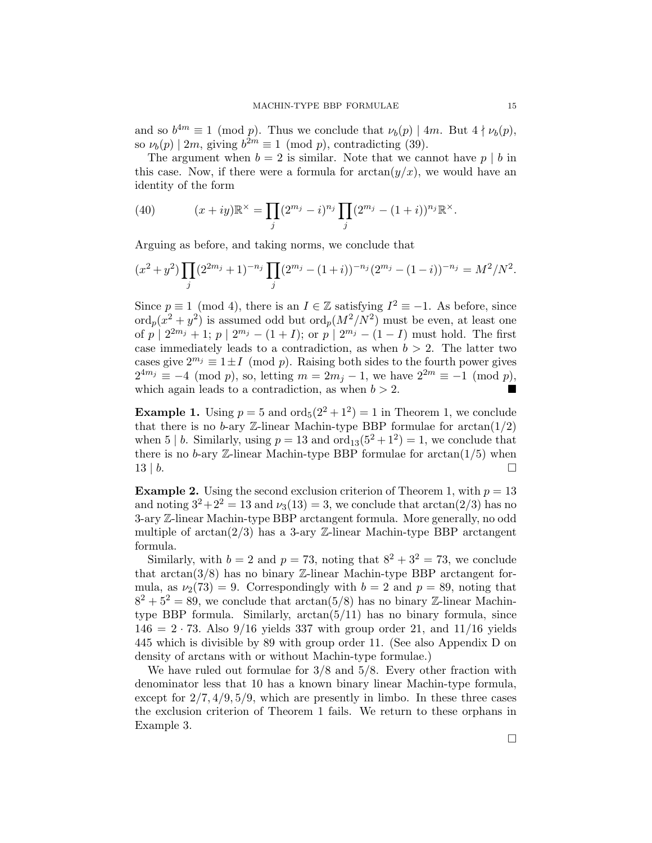and so  $b^{4m} \equiv 1 \pmod{p}$ . Thus we conclude that  $\nu_b(p) | 4m$ . But  $4 \nmid \nu_b(p)$ , so  $\nu_b(p) | 2m$ , giving  $b^{2m} \equiv 1 \pmod{p}$ , contradicting [\(39\)](#page-13-4).

The argument when  $b = 2$  is similar. Note that we cannot have  $p \mid b$  in this case. Now, if there were a formula for  $arctan(y/x)$ , we would have an identity of the form

(40) 
$$
(x+iy)\mathbb{R}^{\times} = \prod_{j} (2^{m_j} - i)^{n_j} \prod_{j} (2^{m_j} - (1+i))^{n_j} \mathbb{R}^{\times}.
$$

Arguing as before, and taking norms, we conclude that

$$
(x^{2} + y^{2}) \prod_{j} (2^{2m_{j}} + 1)^{-n_{j}} \prod_{j} (2^{m_{j}} - (1+i))^{-n_{j}} (2^{m_{j}} - (1-i))^{-n_{j}} = M^{2}/N^{2}.
$$

Since  $p \equiv 1 \pmod{4}$ , there is an  $I \in \mathbb{Z}$  satisfying  $I^2 \equiv -1$ . As before, since  $\operatorname{ord}_p(x^2+y^2)$  is assumed odd but  $\operatorname{ord}_p(M^2/N^2)$  must be even, at least one of  $p \mid 2^{2m_j} + 1$ ;  $p \mid 2^{m_j} - (1 + I)$ ; or  $p \mid 2^{m_j} - (1 - I)$  must hold. The first case immediately leads to a contradiction, as when  $b > 2$ . The latter two cases give  $2^{m_j} \equiv 1 \pm I \pmod{p}$ . Raising both sides to the fourth power gives  $2^{4m_j} \equiv -4 \pmod{p}$ , so, letting  $m = 2m_j - 1$ , we have  $2^{2m} \equiv -1 \pmod{p}$ , which again leads to a contradiction, as when  $b > 2$ .

**Example 1.** Using  $p = 5$  and  $\text{ord}_5(2^2 + 1^2) = 1$  in Theorem [1,](#page-13-1) we conclude that there is no b-ary  $\mathbb{Z}$ -linear Machin-type BBP formulae for  $arctan(1/2)$ when 5 | b. Similarly, using  $p = 13$  and  $\text{ord}_{13}(5^2 + 1^2) = 1$ , we conclude that there is no b-ary  $\mathbb{Z}$ -linear Machin-type BBP formulae for  $arctan(1/5)$  when  $13 \mid b.$ 

<span id="page-14-0"></span>**Example 2.** Using the second exclusion criterion of Theorem [1,](#page-13-1) with  $p = 13$ and noting  $3^2+2^2=13$  and  $\nu_3(13)=3$ , we conclude that  $\arctan(2/3)$  has no 3-ary Z-linear Machin-type BBP arctangent formula. More generally, no odd multiple of  $arctan(2/3)$  has a 3-ary  $\mathbb{Z}$ -linear Machin-type BBP arctangent formula.

Similarly, with  $b = 2$  and  $p = 73$ , noting that  $8^2 + 3^2 = 73$ , we conclude that  $arctan(3/8)$  has no binary  $\mathbb{Z}$ -linear Machin-type BBP arctangent formula, as  $\nu_2(73) = 9$ . Correspondingly with  $b = 2$  and  $p = 89$ , noting that  $8^2 + 5^2 = 89$ , we conclude that  $arctan(5/8)$  has no binary Z-linear Machintype BBP formula. Similarly,  $arctan(5/11)$  has no binary formula, since  $146 = 2 \cdot 73$ . Also 9/16 yields 337 with group order 21, and 11/16 yields 445 which is divisible by 89 with group order 11. (See also Appendix [D](#page-30-0) on density of arctans with or without Machin-type formulae.)

We have ruled out formulae for 3/8 and 5/8. Every other fraction with denominator less that 10 has a known binary linear Machin-type formula, except for  $2/7$ ,  $4/9$ ,  $5/9$ , which are presently in limbo. In these three cases the exclusion criterion of Theorem [1](#page-13-1) fails. We return to these orphans in Example [3.](#page-15-1)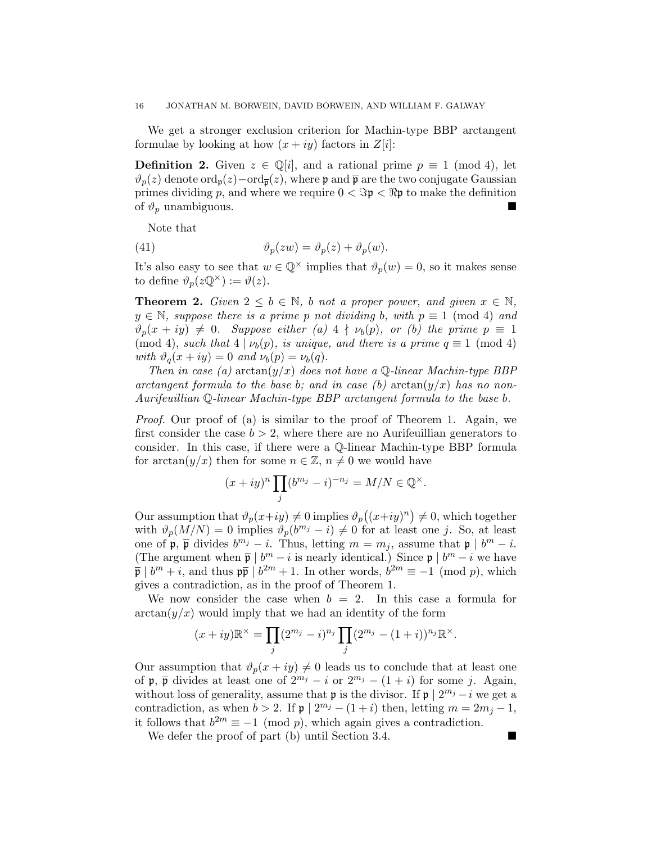We get a stronger exclusion criterion for Machin-type BBP arctangent formulae by looking at how  $(x + iy)$  factors in  $Z[i]$ :

<span id="page-15-2"></span>**Definition 2.** Given  $z \in \mathbb{Q}[i]$ , and a rational prime  $p \equiv 1 \pmod{4}$ , let  $\vartheta_p(z)$  denote  $\text{ord}_{\overline{p}}(z) - \text{ord}_{\overline{p}}(z)$ , where  $\mathfrak p$  and  $\overline{\mathfrak p}$  are the two conjugate Gaussian primes dividing p, and where we require  $0 < \Im p < \Re p$  to make the definition of  $\vartheta_p$  unambiguous.

<span id="page-15-3"></span>Note that

(41) 
$$
\vartheta_p(zw) = \vartheta_p(z) + \vartheta_p(w).
$$

It's also easy to see that  $w \in \mathbb{Q}^{\times}$  implies that  $\vartheta_p(w) = 0$ , so it makes sense to define  $\vartheta_p(z\mathbb{Q}^{\times}) := \vartheta(z)$ .

<span id="page-15-0"></span>**Theorem 2.** Given  $2 \leq b \in \mathbb{N}$ , b not a proper power, and given  $x \in \mathbb{N}$ ,  $y \in \mathbb{N}$ , suppose there is a prime p not dividing b, with  $p \equiv 1 \pmod{4}$  and  $\vartheta_p(x+iy) \neq 0$ . Suppose either (a)  $4 \nmid \nu_b(p)$ , or (b) the prime  $p \equiv 1$ (mod 4), such that  $4 | \nu_b(p)$ , is unique, and there is a prime  $q \equiv 1 \pmod{4}$ with  $\vartheta_q(x + iy) = 0$  and  $\nu_b(p) = \nu_b(q)$ .

Then in case (a)  $arctan(y/x)$  does not have a Q-linear Machin-type BBP arctangent formula to the base b; and in case (b)  $\arctan(y/x)$  has no non-Aurifeuillian Q-linear Machin-type BBP arctangent formula to the base b.

Proof. Our proof of (a) is similar to the proof of Theorem [1.](#page-13-1) Again, we first consider the case  $b > 2$ , where there are no Aurifeuillian generators to consider. In this case, if there were a Q-linear Machin-type BBP formula for  $\arctan(y/x)$  then for some  $n \in \mathbb{Z}$ ,  $n \neq 0$  we would have

$$
(x+iy)^n \prod_j (b^{m_j} - i)^{-n_j} = M/N \in \mathbb{Q}^\times.
$$

Our assumption that  $\vartheta_p(x+iy) \neq 0$  implies  $\vartheta_p((x+iy)^n) \neq 0$ , which together with  $\vartheta_p(M/N) = 0$  implies  $\vartheta_p(b^{m_j} - i) \neq 0$  for at least one j. So, at least one of  $\mathfrak{p}, \overline{\mathfrak{p}}$  divides  $b^{m_j} - i$ . Thus, letting  $m = m_j$ , assume that  $\mathfrak{p} \mid b^m - i$ . (The argument when  $\bar{\mathfrak{p}} \mid b^m - i$  is nearly identical.) Since  $\mathfrak{p} \mid b^m - i$  we have  $\bar{\mathfrak{p}} \mid b^m + i$ , and thus  $\bar{\mathfrak{p}} \mid b^{2m} + 1$ . In other words,  $b^{2m} \equiv -1 \pmod{p}$ , which gives a contradiction, as in the proof of Theorem [1.](#page-13-1)

We now consider the case when  $b = 2$ . In this case a formula for  $arctan(y/x)$  would imply that we had an identity of the form

$$
(x+iy)\mathbb{R}^{\times} = \prod_{j} (2^{m_j} - i)^{n_j} \prod_{j} (2^{m_j} - (1+i))^{n_j} \mathbb{R}^{\times}.
$$

Our assumption that  $\vartheta_p(x+iy) \neq 0$  leads us to conclude that at least one of p,  $\bar{p}$  divides at least one of  $2^{m_j} - i$  or  $2^{m_j} - (1 + i)$  for some j. Again, without loss of generality, assume that  $\mathfrak p$  is the divisor. If  $\mathfrak p \mid 2^{m_j} - i$  we get a contradiction, as when  $b > 2$ . If  $p \mid 2^{m_j} - (1 + i)$  then, letting  $m = 2m_j - 1$ , it follows that  $b^{2m} \equiv -1 \pmod{p}$ , which again gives a contradiction.

<span id="page-15-1"></span>We defer the proof of part (b) until Section [3.4.](#page-24-0)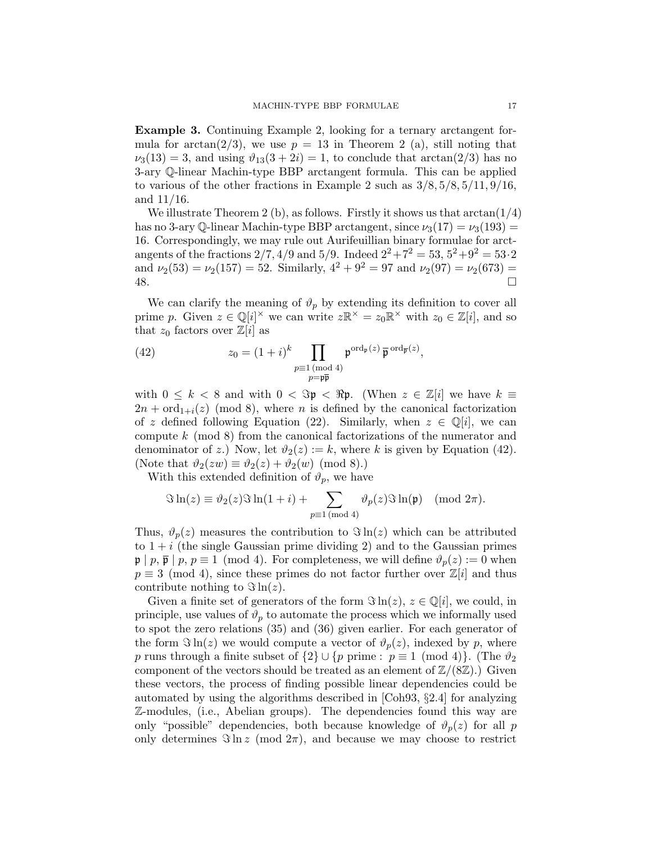Example 3. Continuing Example [2,](#page-14-0) looking for a ternary arctangent formula for  $arctan(2/3)$  $arctan(2/3)$  $arctan(2/3)$ , we use  $p = 13$  in Theorem 2 (a), still noting that  $\nu_3(13) = 3$ , and using  $\vartheta_{13}(3 + 2i) = 1$ , to conclude that  $\arctan(2/3)$  has no 3-ary Q-linear Machin-type BBP arctangent formula. This can be applied to various of the other fractions in Example [2](#page-14-0) such as  $3/8, 5/8, 5/11, 9/16$ , and 11/16.

We illustrate Theorem [2](#page-15-0) (b), as follows. Firstly it shows us that  $arctan(1/4)$ has no 3-ary Q-linear Machin-type BBP arctangent, since  $\nu_3(17) = \nu_3(193) =$ 16. Correspondingly, we may rule out Aurifeuillian binary formulae for arctangents of the fractions 2/7, 4/9 and 5/9. Indeed  $2^2 + 7^2 = 53$ ,  $5^2 + 9^2 = 53 \cdot 2$ and  $\nu_2(53) = \nu_2(157) = 52$ . Similarly,  $4^2 + 9^2 = 97$  and  $\nu_2(97) = \nu_2(673) =$ 48.

We can clarify the meaning of  $\vartheta_p$  by extending its definition to cover all prime p. Given  $z \in \mathbb{Q}[i]^\times$  we can write  $z \mathbb{R}^\times = z_0 \mathbb{R}^\times$  with  $z_0 \in \mathbb{Z}[i]$ , and so that  $z_0$  factors over  $\mathbb{Z}[i]$  as

<span id="page-16-0"></span>(42) 
$$
z_0 = (1+i)^k \prod_{\substack{p \equiv 1 \pmod{4} \\ p = p\overline{p}}} \mathfrak{p}^{\text{ord}_{\mathfrak{p}}(z)} \overline{\mathfrak{p}}^{\text{ord}_{\overline{\mathfrak{p}}}(z)},
$$

with  $0 \leq k < 8$  and with  $0 < \Im p < \Re p$ . (When  $z \in \mathbb{Z}[i]$  we have  $k \equiv$  $2n + \text{ord}_{1+i}(z)$  (mod 8), where n is defined by the canonical factorization of z defined following Equation [\(22\)](#page-11-1). Similarly, when  $z \in \mathbb{Q}[i]$ , we can compute k (mod 8) from the canonical factorizations of the numerator and denominator of z.) Now, let  $\vartheta_2(z) := k$ , where k is given by Equation [\(42\)](#page-16-0). (Note that  $\vartheta_2(zw) \equiv \vartheta_2(z) + \vartheta_2(w) \pmod{8}$ .)

With this extended definition of  $\vartheta_p$ , we have

$$
\Im \ln(z) \equiv \vartheta_2(z) \Im \ln(1+i) + \sum_{p \equiv 1 \pmod{4}} \vartheta_p(z) \Im \ln(\mathfrak{p}) \pmod{2\pi}.
$$

Thus,  $\vartheta_p(z)$  measures the contribution to  $\Im \ln(z)$  which can be attributed to  $1 + i$  (the single Gaussian prime dividing 2) and to the Gaussian primes  $\mathfrak{p} \mid p, \overline{\mathfrak{p}} \mid p, p \equiv 1 \pmod{4}$ . For completeness, we will define  $\vartheta_p(z) := 0$  when  $p \equiv 3 \pmod{4}$ , since these primes do not factor further over  $\mathbb{Z}[i]$  and thus contribute nothing to  $\Im \ln(z)$ .

Given a finite set of generators of the form  $\Im \ln(z)$ ,  $z \in \mathbb{Q}[i]$ , we could, in principle, use values of  $\vartheta_p$  to automate the process which we informally used to spot the zero relations [\(35\)](#page-13-5) and [\(36\)](#page-13-6) given earlier. For each generator of the form  $\Im \ln(z)$  we would compute a vector of  $\vartheta_p(z)$ , indexed by p, where p runs through a finite subset of  $\{2\} \cup \{p \text{ prime} : p \equiv 1 \pmod{4}\}.$  (The  $\vartheta_2$ ) component of the vectors should be treated as an element of  $\mathbb{Z}/(8\mathbb{Z})$ . Given these vectors, the process of finding possible linear dependencies could be automated by using the algorithms described in [\[Coh93,](#page-33-5) §2.4] for analyzing Z-modules, (i.e., Abelian groups). The dependencies found this way are only "possible" dependencies, both because knowledge of  $\vartheta_p(z)$  for all p only determines  $\Im \ln z$  (mod  $2\pi$ ), and because we may choose to restrict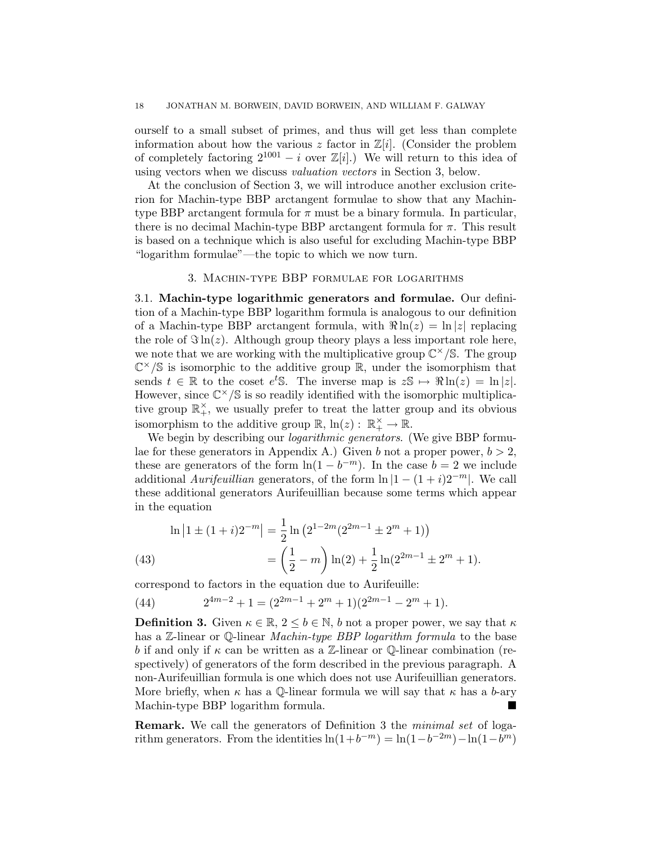ourself to a small subset of primes, and thus will get less than complete information about how the various z factor in  $\mathbb{Z}[i]$ . (Consider the problem of completely factoring  $2^{1001} - i$  over  $\mathbb{Z}[i]$ .) We will return to this idea of using vectors when we discuss valuation vectors in Section [3,](#page-17-0) below.

At the conclusion of Section [3,](#page-17-0) we will introduce another exclusion criterion for Machin-type BBP arctangent formulae to show that any Machintype BBP arctangent formula for  $\pi$  must be a binary formula. In particular, there is no decimal Machin-type BBP arctangent formula for  $\pi$ . This result is based on a technique which is also useful for excluding Machin-type BBP "logarithm formulae"—the topic to which we now turn.

### 3. Machin-type BBP formulae for logarithms

<span id="page-17-1"></span><span id="page-17-0"></span>3.1. Machin-type logarithmic generators and formulae. Our definition of a Machin-type BBP logarithm formula is analogous to our definition of a Machin-type BBP arctangent formula, with  $\Re \ln(z) = \ln |z|$  replacing the role of  $\Im \ln(z)$ . Although group theory plays a less important role here, we note that we are working with the multiplicative group  $\mathbb{C}^{\times}/\mathbb{S}$ . The group  $\mathbb{C}^{\times}/\mathbb{S}$  is isomorphic to the additive group  $\mathbb{R}$ , under the isomorphism that sends  $t \in \mathbb{R}$  to the coset  $e^{t} \mathbb{S}$ . The inverse map is  $z \mathbb{S} \mapsto \Re \ln(z) = \ln |z|$ . However, since  $\mathbb{C}^{\times}/\mathbb{S}$  is so readily identified with the isomorphic multiplicative group  $\mathbb{R}^{\times}_+$ , we usually prefer to treat the latter group and its obvious isomorphism to the additive group  $\mathbb{R}$ ,  $\ln(z)$ :  $\mathbb{R}^{\times}_+ \to \mathbb{R}$ .

We begin by describing our *logarithmic generators*. (We give BBP formu-lae for these generators in Appendix [A.](#page-26-1)) Given b not a proper power,  $b > 2$ , these are generators of the form  $\ln(1 - b^{-m})$ . In the case  $b = 2$  we include additional Aurifeuillian generators, of the form  $\ln |1-(1+i)2^{-m}|$ . We call these additional generators Aurifeuillian because some terms which appear in the equation

<span id="page-17-4"></span>(43) 
$$
\ln |1 \pm (1+i)2^{-m}| = \frac{1}{2} \ln (2^{1-2m} (2^{2m-1} \pm 2^m + 1))
$$

$$
= \left(\frac{1}{2} - m\right) \ln(2) + \frac{1}{2} \ln(2^{2m-1} \pm 2^m + 1).
$$

<span id="page-17-3"></span>correspond to factors in the equation due to Aurifeuille:

(44) 
$$
2^{4m-2} + 1 = (2^{2m-1} + 2^m + 1)(2^{2m-1} - 2^m + 1).
$$

<span id="page-17-2"></span>**Definition 3.** Given  $\kappa \in \mathbb{R}$ ,  $2 \leq b \in \mathbb{N}$ , b not a proper power, we say that  $\kappa$ has a Z-linear or Q-linear *Machin-type BBP logarithm formula* to the base b if and only if  $\kappa$  can be written as a Z-linear or Q-linear combination (respectively) of generators of the form described in the previous paragraph. A non-Aurifeuillian formula is one which does not use Aurifeuillian generators. More briefly, when  $\kappa$  has a  $\mathbb{Q}$ -linear formula we will say that  $\kappa$  has a b-ary Machin-type BBP logarithm formula.

Remark. We call the generators of Definition [3](#page-17-2) the minimal set of logarithm generators. From the identities  $\ln(1+b^{-m}) = \ln(1-b^{-2m}) - \ln(1-b^{m})$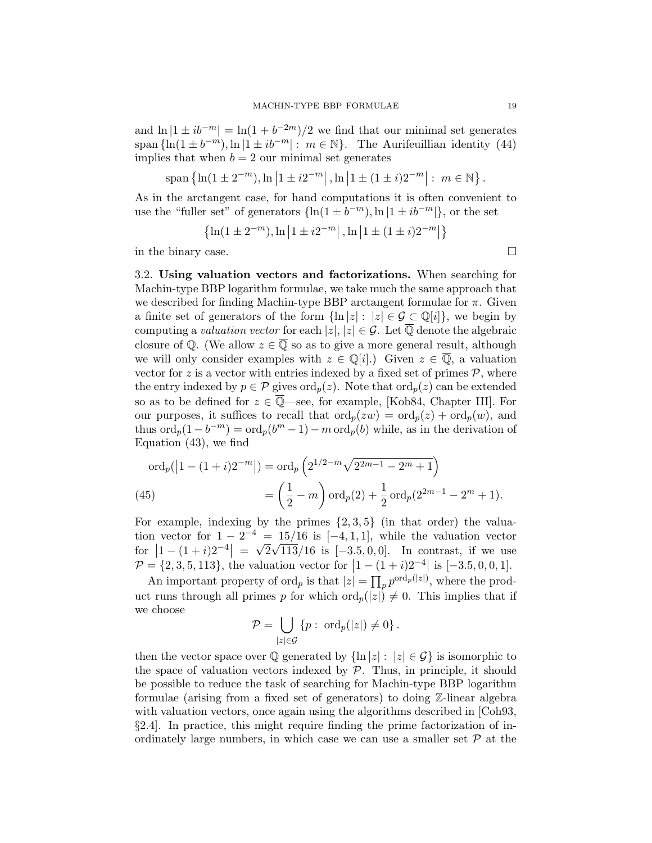and  $\ln |1 \pm ib^{-m}| = \ln(1 + b^{-2m})/2$  we find that our minimal set generates span  $\{\ln(1 \pm b^{-m}), \ln |1 \pm ib^{-m}| : m \in \mathbb{N}\}\$ . The Aurifeuillian identity [\(44\)](#page-17-3) implies that when  $b = 2$  our minimal set generates

span 
$$
\{ \ln(1 \pm 2^{-m}), \ln |1 \pm i2^{-m}|, \ln |1 \pm (1 \pm i)2^{-m}| : m \in \mathbb{N} \}.
$$

As in the arctangent case, for hand computations it is often convenient to use the "fuller set" of generators  $\{\ln(1 \pm b^{-m}), \ln|1 \pm ib^{-m}|\}$ , or the set

$$
\{\ln(1 \pm 2^{-m}), \ln |1 \pm i2^{-m}|, \ln |1 \pm (1 \pm i)2^{-m}| \}
$$

in the binary case.  $\Box$ 

<span id="page-18-0"></span>3.2. Using valuation vectors and factorizations. When searching for Machin-type BBP logarithm formulae, we take much the same approach that we described for finding Machin-type BBP arctangent formulae for  $\pi$ . Given a finite set of generators of the form  $\{\ln |z| : |z| \in \mathcal{G} \subset \mathbb{Q}[i]\},\$  we begin by computing a valuation vector for each  $|z|, |z| \in \mathcal{G}$ . Let  $\overline{\mathbb{Q}}$  denote the algebraic closure of Q. (We allow  $z \in \overline{Q}$  so as to give a more general result, although we will only consider examples with  $z \in \mathbb{Q}[i]$ .) Given  $z \in \overline{\mathbb{Q}}$ , a valuation vector for z is a vector with entries indexed by a fixed set of primes  $P$ , where the entry indexed by  $p \in \mathcal{P}$  gives  $\text{ord}_p(z)$ . Note that  $\text{ord}_p(z)$  can be extended so as to be defined for  $z \in \overline{\mathbb{Q}}$ —see, for example, [\[Kob84,](#page-33-4) Chapter III]. For our purposes, it suffices to recall that  $\text{ord}_p(zw) = \text{ord}_p(z) + \text{ord}_p(w)$ , and thus  $\text{ord}_p(1-b^{-m}) = \text{ord}_p(b^m-1) - m \text{ ord}_p(b)$  while, as in the derivation of Equation [\(43\)](#page-17-4), we find

<span id="page-18-1"></span>
$$
\operatorname{ord}_p(|1 - (1 + i)2^{-m}|) = \operatorname{ord}_p\left(2^{1/2 - m}\sqrt{2^{2m-1} - 2^m + 1}\right)
$$
  
(45)
$$
= \left(\frac{1}{2} - m\right) \operatorname{ord}_p(2) + \frac{1}{2} \operatorname{ord}_p(2^{2m-1} - 2^m + 1).
$$

For example, indexing by the primes  $\{2,3,5\}$  (in that order) the valuation vector for  $1 - 2^{-4} = 15/16$  is  $[-4, 1, 1]$ , while the valuation vector for  $\left|1-(1+i)2^{-4}\right| = \sqrt{2}\sqrt{113}/16$  is  $[-3.5, 0, 0]$ . In contrast, if we use  $\mathcal{P} = \{2, 3, 5, 113\}$ , the valuation vector for  $\left|1 - (1+i)2^{-4}\right|$  is  $[-3.5, 0, 0, 1]$ .

An important property of ord<sub>p</sub> is that  $|z| = \prod_p p^{\text{ord}_p(|z|)}$ , where the product runs through all primes p for which  $\text{ord}_p(|z|) \neq 0$ . This implies that if we choose

$$
\mathcal{P} = \bigcup_{|z| \in \mathcal{G}} \{p : \text{ ord}_p(|z|) \neq 0\}.
$$

then the vector space over  $\mathbb Q$  generated by  $\{\ln |z| : |z| \in \mathcal G\}$  is isomorphic to the space of valuation vectors indexed by  $P$ . Thus, in principle, it should be possible to reduce the task of searching for Machin-type BBP logarithm formulae (arising from a fixed set of generators) to doing Z-linear algebra with valuation vectors, once again using the algorithms described in [\[Coh93,](#page-33-5) §2.4]. In practice, this might require finding the prime factorization of inordinately large numbers, in which case we can use a smaller set  $P$  at the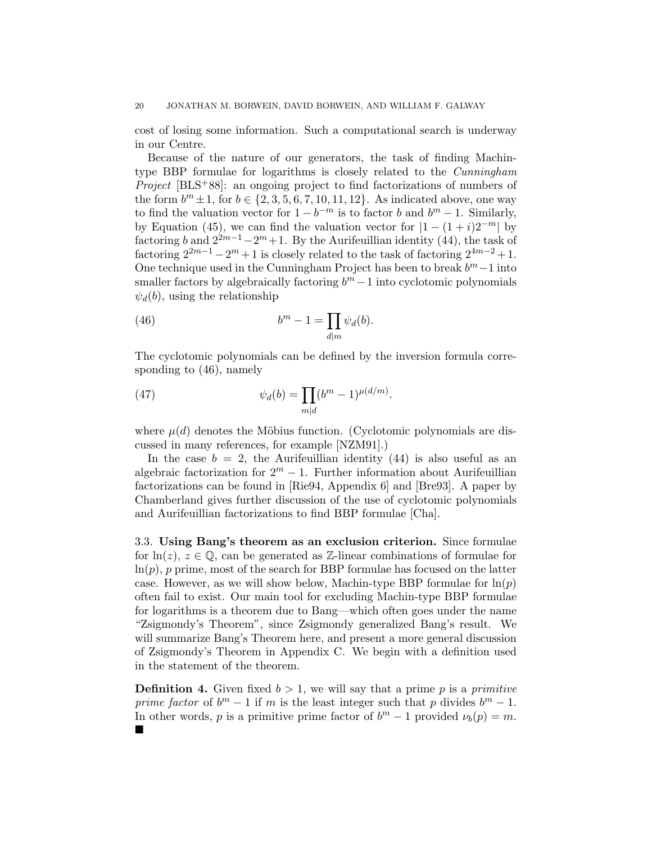cost of losing some information. Such a computational search is underway in our Centre.

Because of the nature of our generators, the task of finding Machintype BBP formulae for logarithms is closely related to the Cunningham Project [\[BLS](#page-33-6)+88]: an ongoing project to find factorizations of numbers of the form  $b^m \pm 1$ , for  $b \in \{2, 3, 5, 6, 7, 10, 11, 12\}$ . As indicated above, one way to find the valuation vector for  $1 - b^{-m}$  is to factor b and  $b^{m} - 1$ . Similarly, by Equation [\(45\)](#page-18-1), we can find the valuation vector for  $|1-(1+i)2^{-m}|$  by factoring b and  $2^{2m-1}-2^m+1$ . By the Aurifeuillian identity [\(44\)](#page-17-3), the task of factoring  $2^{2m-1} - 2^m + 1$  is closely related to the task of factoring  $2^{4m-2} + 1$ . One technique used in the Cunningham Project has been to break  $b<sup>m</sup> - 1$  into smaller factors by algebraically factoring  $b<sup>m</sup> - 1$  into cyclotomic polynomials  $\psi_d(b)$ , using the relationship

<span id="page-19-1"></span>(46) 
$$
b^m - 1 = \prod_{d|m} \psi_d(b).
$$

The cyclotomic polynomials can be defined by the inversion formula corresponding to [\(46\)](#page-19-1), namely

(47) 
$$
\psi_d(b) = \prod_{m|d} (b^m - 1)^{\mu(d/m)}.
$$

where  $\mu(d)$  denotes the Möbius function. (Cyclotomic polynomials are discussed in many references, for example [\[NZM91\]](#page-33-7).)

In the case  $b = 2$ , the Aurifeuillian identity [\(44\)](#page-17-3) is also useful as an algebraic factorization for  $2^m - 1$ . Further information about Aurifeuillian factorizations can be found in [\[Rie94,](#page-33-8) Appendix 6] and [\[Bre93\]](#page-33-9). A paper by Chamberland gives further discussion of the use of cyclotomic polynomials and Aurifeuillian factorizations to find BBP formulae [\[Cha\]](#page-33-10).

<span id="page-19-0"></span>3.3. Using Bang's theorem as an exclusion criterion. Since formulae for  $\ln(z)$ ,  $z \in \mathbb{Q}$ , can be generated as Z-linear combinations of formulae for  $\ln(p)$ , p prime, most of the search for BBP formulae has focused on the latter case. However, as we will show below, Machin-type BBP formulae for  $\ln(p)$ often fail to exist. Our main tool for excluding Machin-type BBP formulae for logarithms is a theorem due to Bang—which often goes under the name "Zsigmondy's Theorem", since Zsigmondy generalized Bang's result. We will summarize Bang's Theorem here, and present a more general discussion of Zsigmondy's Theorem in Appendix [C.](#page-29-0) We begin with a definition used in the statement of the theorem.

<span id="page-19-2"></span>**Definition 4.** Given fixed  $b > 1$ , we will say that a prime p is a primitive prime factor of  $b^m - 1$  if m is the least integer such that p divides  $b^m - 1$ . In other words, p is a primitive prime factor of  $b^m - 1$  provided  $\nu_b(p) = m$ .  $\blacksquare$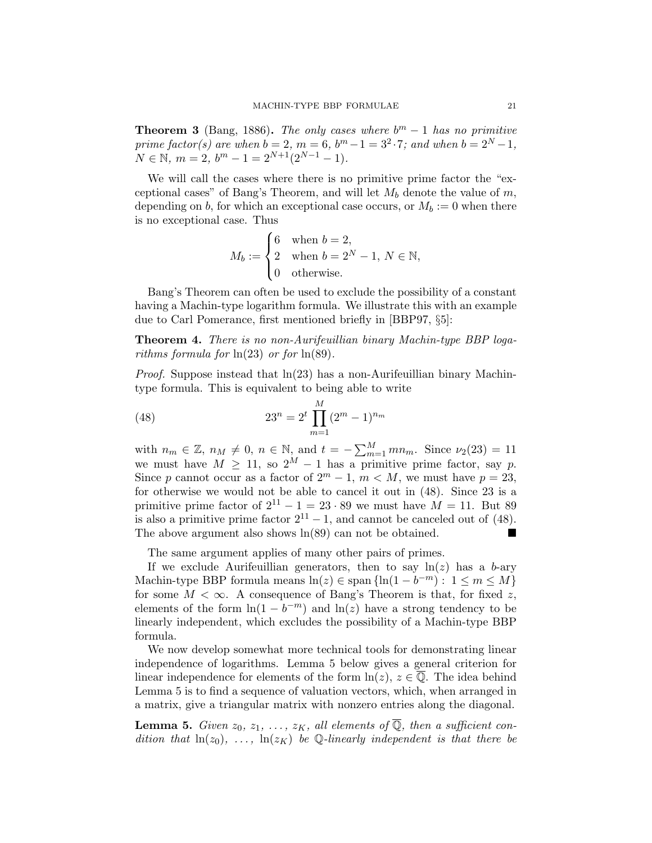**Theorem 3** (Bang, 1886). The only cases where  $b^m - 1$  has no primitive prime factor(s) are when  $b = 2$ ,  $m = 6$ ,  $b^m - 1 = 3^2 \cdot 7$ ; and when  $b = 2^N - 1$ ,  $N \in \mathbb{N}, m = 2, b^m - 1 = 2^{N+1}(2^{N-1} - 1).$ 

We will call the cases where there is no primitive prime factor the "exceptional cases" of Bang's Theorem, and will let  $M_b$  denote the value of m, depending on b, for which an exceptional case occurs, or  $M_b := 0$  when there is no exceptional case. Thus

<span id="page-20-0"></span>
$$
M_b := \begin{cases} 6 & \text{when } b = 2, \\ 2 & \text{when } b = 2^N - 1, N \in \mathbb{N}, \\ 0 & \text{otherwise.} \end{cases}
$$

Bang's Theorem can often be used to exclude the possibility of a constant having a Machin-type logarithm formula. We illustrate this with an example due to Carl Pomerance, first mentioned briefly in [\[BBP97,](#page-32-1) §5]:

<span id="page-20-2"></span>Theorem 4. There is no non-Aurifeuillian binary Machin-type BBP logarithms formula for  $ln(23)$  or for  $ln(89)$ .

*Proof.* Suppose instead that  $\ln(23)$  has a non-Aurifeuillian binary Machintype formula. This is equivalent to being able to write

(48) 
$$
23^{n} = 2^{t} \prod_{m=1}^{M} (2^{m} - 1)^{n_{m}}
$$

with  $n_m \in \mathbb{Z}$ ,  $n_M \neq 0$ ,  $n \in \mathbb{N}$ , and  $t = -\sum_{m=1}^{M} mn_m$ . Since  $\nu_2(23) = 11$ we must have  $M \geq 11$ , so  $2^M - 1$  has a primitive prime factor, say p. Since p cannot occur as a factor of  $2^m - 1$ ,  $m < M$ , we must have  $p = 23$ , for otherwise we would not be able to cancel it out in [\(48\)](#page-20-0). Since 23 is a primitive prime factor of  $2^{11} - 1 = 23 \cdot 89$  we must have  $M = 11$ . But 89 is also a primitive prime factor  $2^{11} - 1$ , and cannot be canceled out of [\(48\)](#page-20-0). The above argument also shows  $\ln(89)$  can not be obtained.

The same argument applies of many other pairs of primes.

If we exclude Aurifeuillian generators, then to say  $ln(z)$  has a b-ary Machin-type BBP formula means  $\ln(z) \in \text{span} \{ \ln(1 - b^{-m}) : 1 \leq m \leq M \}$ for some  $M < \infty$ . A consequence of Bang's Theorem is that, for fixed z, elements of the form  $\ln(1 - b^{-m})$  and  $\ln(z)$  have a strong tendency to be linearly independent, which excludes the possibility of a Machin-type BBP formula.

We now develop somewhat more technical tools for demonstrating linear independence of logarithms. Lemma [5](#page-20-1) below gives a general criterion for linear independence for elements of the form  $\ln(z)$ ,  $z \in \mathbb{Q}$ . The idea behind Lemma [5](#page-20-1) is to find a sequence of valuation vectors, which, when arranged in a matrix, give a triangular matrix with nonzero entries along the diagonal.

<span id="page-20-1"></span>**Lemma 5.** Given  $z_0, z_1, \ldots, z_K$ , all elements of  $\overline{Q}$ , then a sufficient condition that  $ln(z_0), \ldots, ln(z_K)$  be Q-linearly independent is that there be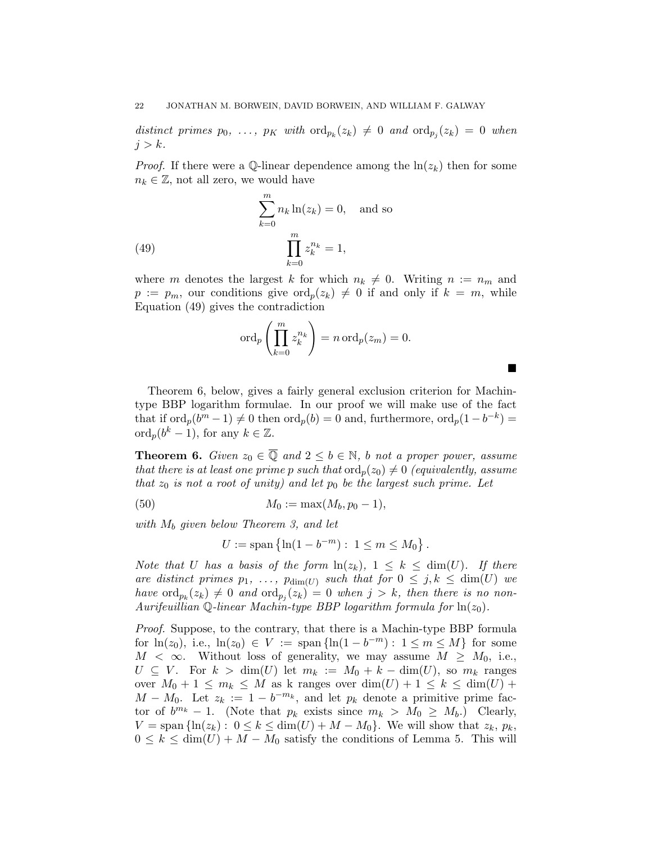distinct primes  $p_0, \ldots, p_K$  with  $\text{ord}_{p_k}(z_k) \neq 0$  and  $\text{ord}_{p_j}(z_k) = 0$  when  $j > k$ .

*Proof.* If there were a  $\mathbb{Q}$ -linear dependence among the  $\ln(z_k)$  then for some  $n_k \in \mathbb{Z}$ , not all zero, we would have

(49) 
$$
\sum_{k=0}^{m} n_k \ln(z_k) = 0, \text{ and so}
$$

$$
\prod_{k=0}^{m} z_k^{n_k} = 1,
$$

<span id="page-21-0"></span>where m denotes the largest k for which  $n_k \neq 0$ . Writing  $n := n_m$  and  $p := p_m$ , our conditions give  $\text{ord}_p(z_k) \neq 0$  if and only if  $k = m$ , while Equation [\(49\)](#page-21-0) gives the contradiction

$$
\operatorname{ord}_p\left(\prod_{k=0}^m z_k^{n_k}\right) = n \operatorname{ord}_p(z_m) = 0.
$$

<span id="page-21-2"></span> $\blacksquare$ 

Theorem [6,](#page-21-1) below, gives a fairly general exclusion criterion for Machintype BBP logarithm formulae. In our proof we will make use of the fact that if  $\text{ord}_p(b^m-1) \neq 0$  then  $\text{ord}_p(b) = 0$  and, furthermore,  $\text{ord}_p(1-b^{-k}) =$  $\mathrm{ord}_p(b^k-1)$ , for any  $k \in \mathbb{Z}$ .

<span id="page-21-1"></span>**Theorem 6.** Given  $z_0 \in \overline{Q}$  and  $2 \leq b \in \mathbb{N}$ , b not a proper power, assume that there is at least one prime p such that  $\text{ord}_p(z_0) \neq 0$  (equivalently, assume that  $z_0$  is not a root of unity) and let  $p_0$  be the largest such prime. Let

(50) 
$$
M_0 := \max(M_b, p_0 - 1),
$$

with  $M_b$  given below Theorem [3,](#page-19-2) and let

$$
U := \text{span} \left\{ \ln(1 - b^{-m}) : 1 \le m \le M_0 \right\}.
$$

Note that U has a basis of the form  $\ln(z_k)$ ,  $1 \leq k \leq \dim(U)$ . If there are distinct primes  $p_1, \ldots, p_{\dim(U)}$  such that for  $0 \leq j, k \leq \dim(U)$  we have  $\text{ord}_{p_k}(z_k) \neq 0$  and  $\text{ord}_{p_j}(z_k) = 0$  when  $j > k$ , then there is no non-Aurifeuillian Q-linear Machin-type BBP logarithm formula for  $ln(z_0)$ .

Proof. Suppose, to the contrary, that there is a Machin-type BBP formula for  $\ln(z_0)$ , i.e.,  $\ln(z_0) \in V := \text{span} \{ \ln(1 - b^{-m}) : 1 \le m \le M \}$  for some  $M < \infty$ . Without loss of generality, we may assume  $M \geq M_0$ , i.e.,  $U \subseteq V$ . For  $k > \dim(U)$  let  $m_k := M_0 + k - \dim(U)$ , so  $m_k$  ranges over  $M_0 + 1 \le m_k \le M$  as k ranges over  $\dim(U) + 1 \le k \le \dim(U) + 1$  $M - M_0$ . Let  $z_k := 1 - b^{-m_k}$ , and let  $p_k$  denote a primitive prime factor of  $b^{m_k} - 1$ . (Note that  $p_k$  exists since  $m_k > M_0 \ge M_b$ .) Clearly,  $V = \text{span} \{ \ln(z_k) : 0 \le k \le \dim(U) + M - M_0 \}.$  We will show that  $z_k, p_k$ ,  $0 \leq k \leq \dim(U) + M - M_0$  satisfy the conditions of Lemma [5.](#page-20-1) This will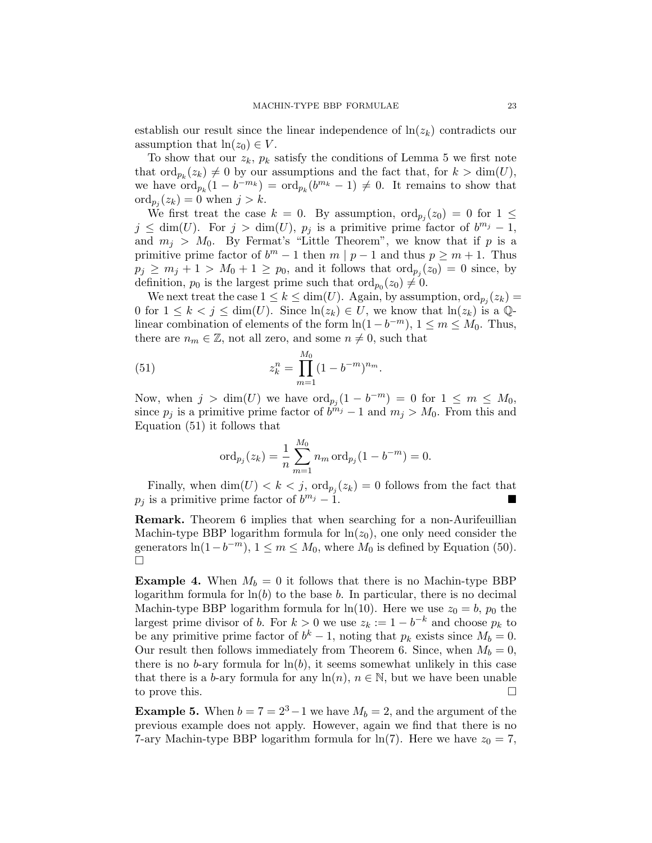establish our result since the linear independence of  $\ln(z_k)$  contradicts our assumption that  $\ln(z_0) \in V$ .

To show that our  $z_k$ ,  $p_k$  satisfy the conditions of Lemma [5](#page-20-1) we first note that  $\text{ord}_{p_k}(z_k) \neq 0$  by our assumptions and the fact that, for  $k > \dim(U)$ , we have  $\operatorname{ord}_{p_k}(1-b^{-m_k}) = \operatorname{ord}_{p_k}(b^{m_k}-1) \neq 0$ . It remains to show that  $\mathrm{ord}_{p_j}(z_k) = 0$  when  $j > k$ .

We first treat the case  $k = 0$ . By assumption,  $\text{ord}_{p_i}(z_0) = 0$  for  $1 \leq$  $j \leq \dim(U)$ . For  $j > \dim(U)$ ,  $p_j$  is a primitive prime factor of  $b^{m_j} - 1$ , and  $m_j > M_0$ . By Fermat's "Little Theorem", we know that if p is a primitive prime factor of  $b^m - 1$  then  $m \mid p - 1$  and thus  $p \ge m + 1$ . Thus  $p_j \geq m_j + 1 > M_0 + 1 \geq p_0$ , and it follows that  $\text{ord}_{p_j}(z_0) = 0$  since, by definition,  $p_0$  is the largest prime such that  $\text{ord}_{p_0}(z_0) \neq 0$ .

We next treat the case  $1 \leq k \leq \dim(U)$ . Again, by assumption,  $\text{ord}_{p_j}(z_k) =$ 0 for  $1 \leq k < j \leq \dim(U)$ . Since  $\ln(z_k) \in U$ , we know that  $\ln(z_k)$  is a Qlinear combination of elements of the form  $\ln(1-b^{-m})$ ,  $1 \le m \le M_0$ . Thus, there are  $n_m \in \mathbb{Z}$ , not all zero, and some  $n \neq 0$ , such that

(51) 
$$
z_k^n = \prod_{m=1}^{M_0} (1 - b^{-m})^{n_m}.
$$

Now, when  $j > \dim(U)$  we have  $\text{ord}_{p_j}(1 - b^{-m}) = 0$  for  $1 \leq m \leq M_0$ , since  $p_j$  is a primitive prime factor of  $b^{m_j} - 1$  and  $m_j > M_0$ . From this and Equation [\(51\)](#page-22-0) it follows that

<span id="page-22-0"></span>
$$
\operatorname{ord}_{p_j}(z_k) = \frac{1}{n} \sum_{m=1}^{M_0} n_m \operatorname{ord}_{p_j}(1 - b^{-m}) = 0.
$$

Finally, when  $\dim(U) < k < j$ ,  $\text{ord}_{p_j}(z_k) = 0$  follows from the fact that  $p_j$  is a primitive prime factor of  $b^{m_j} - 1$ .

Remark. Theorem [6](#page-21-1) implies that when searching for a non-Aurifeuillian Machin-type BBP logarithm formula for  $\ln(z_0)$ , one only need consider the generators  $\ln(1 - b^{-m})$ ,  $1 \le m \le M_0$ , where  $M_0$  is defined by Equation [\(50\)](#page-21-2).  $\Box$ 

**Example 4.** When  $M_b = 0$  it follows that there is no Machin-type BBP logarithm formula for  $\ln(b)$  to the base b. In particular, there is no decimal Machin-type BBP logarithm formula for ln(10). Here we use  $z_0 = b$ ,  $p_0$  the largest prime divisor of b. For  $k > 0$  we use  $z_k := 1 - b^{-k}$  and choose  $p_k$  to be any primitive prime factor of  $b^k - 1$ , noting that  $p_k$  exists since  $M_b = 0$ . Our result then follows immediately from Theorem [6.](#page-21-1) Since, when  $M_b = 0$ , there is no b-ary formula for  $\ln(b)$ , it seems somewhat unlikely in this case that there is a b-ary formula for any  $\ln(n)$ ,  $n \in \mathbb{N}$ , but we have been unable to prove this.

<span id="page-22-1"></span>**Example 5.** When  $b = 7 = 2^3 - 1$  we have  $M_b = 2$ , and the argument of the previous example does not apply. However, again we find that there is no 7-ary Machin-type BBP logarithm formula for  $ln(7)$ . Here we have  $z_0 = 7$ ,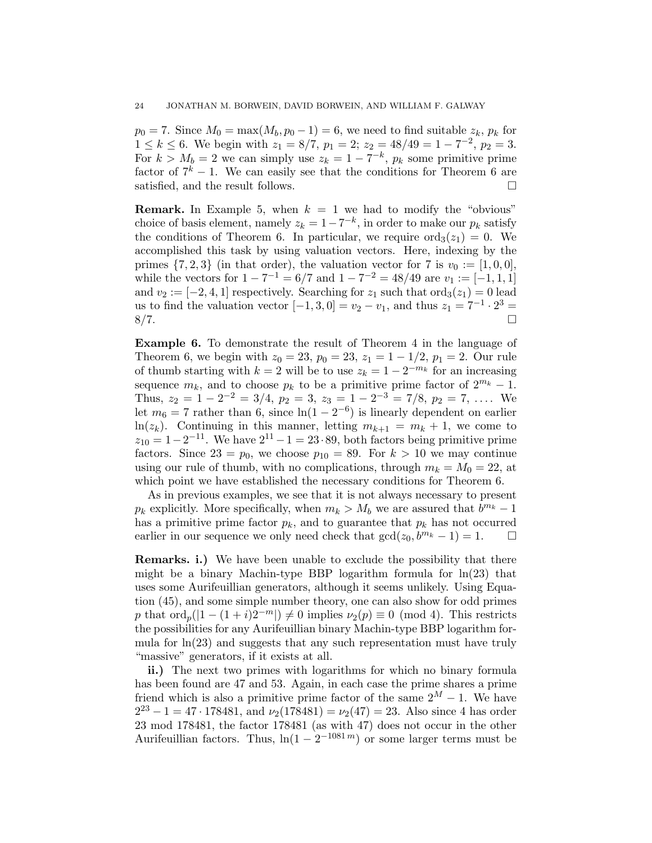$p_0 = 7$ . Since  $M_0 = \max(M_b, p_0 - 1) = 6$ , we need to find suitable  $z_k$ ,  $p_k$  for  $1 \leq k \leq 6$ . We begin with  $z_1 = 8/7$ ,  $p_1 = 2$ ;  $z_2 = 48/49 = 1 - 7^{-2}$ ,  $p_2 = 3$ . For  $k > M_b = 2$  we can simply use  $z_k = 1 - 7^{-k}$ ,  $p_k$  some primitive prime factor of  $7^k - 1$ . We can easily see that the conditions for Theorem [6](#page-21-1) are satisfied, and the result follows.

**Remark.** In Example [5,](#page-22-1) when  $k = 1$  we had to modify the "obvious" choice of basis element, namely  $z_k = 1 - 7^{-k}$ , in order to make our  $p_k$  satisfy the conditions of Theorem [6.](#page-21-1) In particular, we require  $\text{ord}_3(z_1) = 0$ . We accomplished this task by using valuation vectors. Here, indexing by the primes  $\{7, 2, 3\}$  (in that order), the valuation vector for 7 is  $v_0 := [1, 0, 0],$ while the vectors for  $1 - 7^{-1} = 6/7$  and  $1 - 7^{-2} = 48/49$  are  $v_1 := [-1, 1, 1]$ and  $v_2 := [-2, 4, 1]$  respectively. Searching for  $z_1$  such that  $\text{ord}_3(z_1) = 0$  lead us to find the valuation vector  $[-1, 3, 0] = v_2 - v_1$ , and thus  $z_1 = 7^{-1} \cdot 2^3 =$  $8/7.$ 

<span id="page-23-0"></span>Example 6. To demonstrate the result of Theorem [4](#page-20-2) in the language of Theorem [6,](#page-21-1) we begin with  $z_0 = 23$ ,  $p_0 = 23$ ,  $z_1 = 1 - 1/2$ ,  $p_1 = 2$ . Our rule of thumb starting with  $k = 2$  will be to use  $z_k = 1 - 2^{-m_k}$  for an increasing sequence  $m_k$ , and to choose  $p_k$  to be a primitive prime factor of  $2^{m_k} - 1$ . Thus,  $z_2 = 1 - 2^{-2} = 3/4$ ,  $p_2 = 3$ ,  $z_3 = 1 - 2^{-3} = 7/8$ ,  $p_2 = 7$ , ... We let  $m_6 = 7$  rather than 6, since  $\ln(1 - 2^{-6})$  is linearly dependent on earlier  $ln(z_k)$ . Continuing in this manner, letting  $m_{k+1} = m_k + 1$ , we come to  $z_{10} = 1 - 2^{-11}$ . We have  $2^{11} - 1 = 23 \cdot 89$ , both factors being primitive prime factors. Since  $23 = p_0$ , we choose  $p_{10} = 89$ . For  $k > 10$  we may continue using our rule of thumb, with no complications, through  $m_k = M_0 = 22$ , at which point we have established the necessary conditions for Theorem [6.](#page-21-1)

As in previous examples, we see that it is not always necessary to present  $p_k$  explicitly. More specifically, when  $m_k > M_b$  we are assured that  $b^{m_k} - 1$ has a primitive prime factor  $p_k$ , and to guarantee that  $p_k$  has not occurred earlier in our sequence we only need check that  $gcd(z_0, b^{m_k} - 1) = 1.$ 

Remarks. i.) We have been unable to exclude the possibility that there might be a binary Machin-type BBP logarithm formula for ln(23) that uses some Aurifeuillian generators, although it seems unlikely. Using Equation [\(45\)](#page-18-1), and some simple number theory, one can also show for odd primes p that  $\text{ord}_p(|1-(1+i)2^{-m}|) \neq 0$  implies  $\nu_2(p) \equiv 0 \pmod{4}$ . This restricts the possibilities for any Aurifeuillian binary Machin-type BBP logarithm formula for  $ln(23)$  and suggests that any such representation must have truly "massive" generators, if it exists at all.

ii.) The next two primes with logarithms for which no binary formula has been found are 47 and 53. Again, in each case the prime shares a prime friend which is also a primitive prime factor of the same  $2^M - 1$ . We have  $2^{23} - 1 = 47 \cdot 178481$ , and  $\nu_2(178481) = \nu_2(47) = 23$ . Also since 4 has order 23 mod 178481, the factor 178481 (as with 47) does not occur in the other Aurifeuillian factors. Thus,  $\ln(1 - 2^{-1081 m})$  or some larger terms must be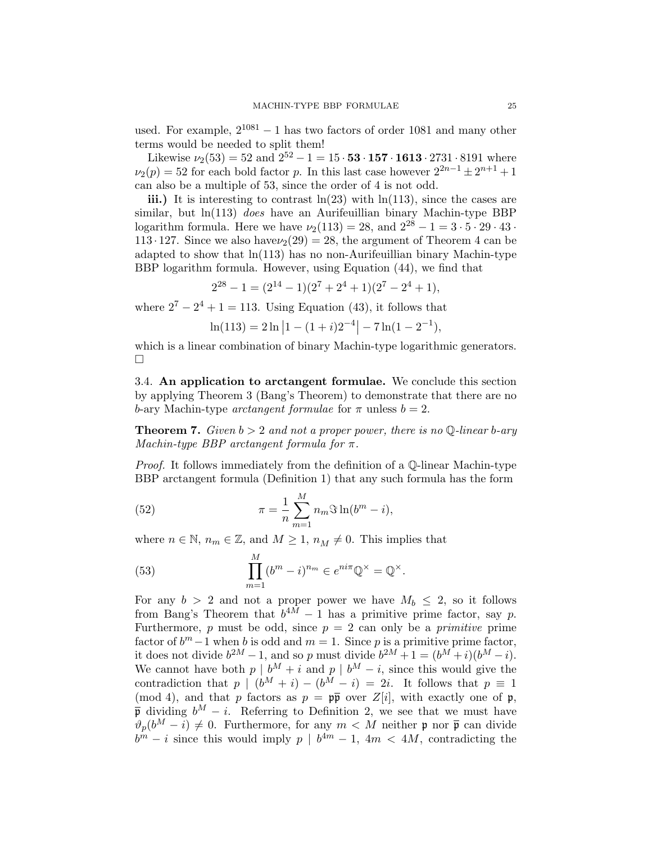used. For example,  $2^{1081} - 1$  has two factors of order 1081 and many other terms would be needed to split them!

Likewise  $\nu_2(53) = 52$  and  $2^{52} - 1 = 15 \cdot 53 \cdot 157 \cdot 1613 \cdot 2731 \cdot 8191$  where  $\nu_2(p) = 52$  for each bold factor p. In this last case however  $2^{2n-1} \pm 2^{n+1} + 1$ can also be a multiple of 53, since the order of 4 is not odd.

iii.) It is interesting to contrast  $\ln(23)$  with  $\ln(113)$ , since the cases are similar, but  $ln(113)$  does have an Aurifeuillian binary Machin-type BBP logarithm formula. Here we have  $\nu_2(113) = 28$ , and  $2^{28} - 1 = 3 \cdot 5 \cdot 29 \cdot 43$ . 113 · 127. Since we also have  $\nu_2(29) = 28$ , the argument of Theorem [4](#page-20-2) can be adapted to show that  $ln(113)$  has no non-Aurifeuillian binary Machin-type BBP logarithm formula. However, using Equation [\(44\)](#page-17-3), we find that

$$
2^{28} - 1 = (2^{14} - 1)(2^7 + 2^4 + 1)(2^7 - 2^4 + 1),
$$

where  $2^7 - 2^4 + 1 = 113$ . Using Equation [\(43\)](#page-17-4), it follows that

$$
\ln(113) = 2\ln\left|1 - (1+i)2^{-4}\right| - 7\ln(1 - 2^{-1}),
$$

which is a linear combination of binary Machin-type logarithmic generators.  $\Box$ 

<span id="page-24-0"></span>3.4. An application to arctangent formulae. We conclude this section by applying Theorem [3](#page-19-2) (Bang's Theorem) to demonstrate that there are no b-ary Machin-type *arctangent formulae* for  $\pi$  unless  $b = 2$ .

**Theorem 7.** Given  $b > 2$  and not a proper power, there is no Q-linear b-ary Machin-type BBP arctangent formula for  $\pi$ .

*Proof.* It follows immediately from the definition of a  $\mathbb{O}$ -linear Machin-type BBP arctangent formula (Definition [1\)](#page-10-1) that any such formula has the form

(52) 
$$
\pi = \frac{1}{n} \sum_{m=1}^{M} n_m \Im \ln(b^m - i),
$$

<span id="page-24-1"></span>where  $n \in \mathbb{N}$ ,  $n_m \in \mathbb{Z}$ , and  $M \geq 1$ ,  $n_M \neq 0$ . This implies that

(53) 
$$
\prod_{m=1}^{M} (b^m - i)^{n_m} \in e^{ni\pi} \mathbb{Q}^{\times} = \mathbb{Q}^{\times}.
$$

For any  $b > 2$  and not a proper power we have  $M_b \leq 2$ , so it follows from Bang's Theorem that  $b^{4M} - 1$  has a primitive prime factor, say p. Furthermore, p must be odd, since  $p = 2$  can only be a *primitive* prime factor of  $b^m - 1$  when b is odd and  $m = 1$ . Since p is a primitive prime factor, it does not divide  $b^{2M} - 1$ , and so p must divide  $b^{2M} + 1 = (b^M + i)(b^M - i)$ . We cannot have both  $p \mid b^M + i$  and  $p \mid b^M - i$ , since this would give the contradiction that  $p \mid (b^M + i) - (b^M - i) = 2i$ . It follows that  $p \equiv 1$ (mod 4), and that p factors as  $p = p\bar{p}$  over  $Z[i]$ , with exactly one of p,  $\bar{p}$  dividing  $b^M - i$ . Referring to Definition [2,](#page-15-2) we see that we must have  $\vartheta_p(b^M - i) \neq 0$ . Furthermore, for any  $m < M$  neither p nor  $\bar{p}$  can divide  $b^m - i$  since this would imply  $p \mid b^{4m} - 1$ ,  $4m < 4M$ , contradicting the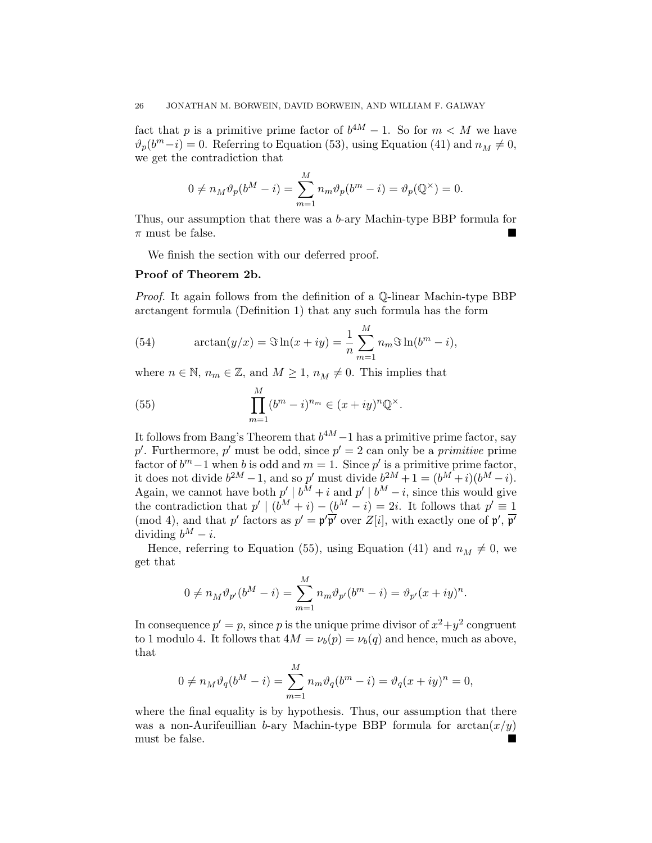fact that p is a primitive prime factor of  $b^{4M} - 1$ . So for  $m < M$  we have  $\vartheta_p(b^m-i) = 0$ . Referring to Equation [\(53\)](#page-24-1), using Equation [\(41\)](#page-15-3) and  $n_M \neq 0$ , we get the contradiction that

$$
0 \neq n_M \vartheta_p(b^M - i) = \sum_{m=1}^M n_m \vartheta_p(b^m - i) = \vartheta_p(\mathbb{Q}^\times) = 0.
$$

Thus, our assumption that there was a b-ary Machin-type BBP formula for  $\pi$  must be false.

We finish the section with our deferred proof.

## Proof of Theorem [2b](#page-15-0).

Proof. It again follows from the definition of a Q-linear Machin-type BBP arctangent formula (Definition [1\)](#page-10-1) that any such formula has the form

(54) 
$$
\arctan(y/x) = \Im \ln(x + iy) = \frac{1}{n} \sum_{m=1}^{M} n_m \Im \ln(b^m - i),
$$

<span id="page-25-0"></span>where  $n \in \mathbb{N}$ ,  $n_m \in \mathbb{Z}$ , and  $M \geq 1$ ,  $n_M \neq 0$ . This implies that

(55) 
$$
\prod_{m=1}^{M} (b^{m} - i)^{n_m} \in (x + iy)^{n} \mathbb{Q}^{\times}.
$$

It follows from Bang's Theorem that  $b^{4M}-1$  has a primitive prime factor, say p'. Furthermore, p' must be odd, since  $p' = 2$  can only be a primitive prime factor of  $b^m - 1$  when b is odd and  $m = 1$ . Since p' is a primitive prime factor, it does not divide  $b^{2M} - 1$ , and so p' must divide  $b^{2M} + 1 = (b^M + i)(b^M - i)$ . Again, we cannot have both  $p' | b^M + i$  and  $p' | b^M - i$ , since this would give the contradiction that  $p' | (b^M + i) - (b^M - i) = 2i$ . It follows that  $p' \equiv 1$ (mod 4), and that p' factors as  $p' = \mathfrak{p}'\overline{\mathfrak{p}}'$  over  $Z[i]$ , with exactly one of  $\mathfrak{p}', \overline{\mathfrak{p}'}$ dividing  $b^M - i$ .

Hence, referring to Equation [\(55\)](#page-25-0), using Equation [\(41\)](#page-15-3) and  $n_M \neq 0$ , we get that

$$
0 \neq n_M \vartheta_{p'} (b^M - i) = \sum_{m=1}^M n_m \vartheta_{p'} (b^m - i) = \vartheta_{p'} (x + iy)^n.
$$

In consequence  $p' = p$ , since p is the unique prime divisor of  $x^2+y^2$  congruent to 1 modulo 4. It follows that  $4M = \nu_b(p) = \nu_b(q)$  and hence, much as above, that

$$
0 \neq n_M \vartheta_q(b^M - i) = \sum_{m=1}^M n_m \vartheta_q(b^m - i) = \vartheta_q(x + iy)^n = 0,
$$

where the final equality is by hypothesis. Thus, our assumption that there was a non-Aurifeuillian b-ary Machin-type BBP formula for  $arctan(x/y)$ must be false.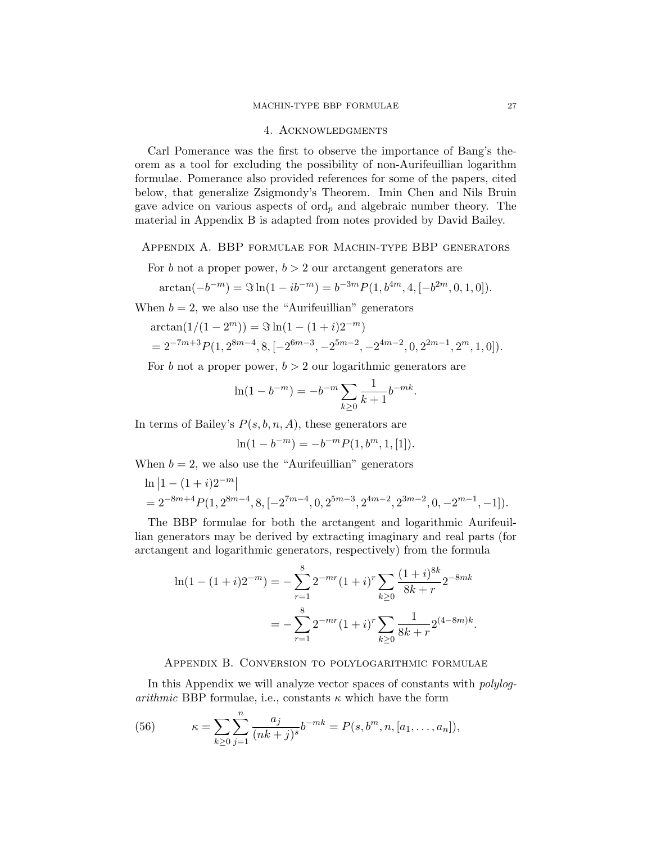### 4. Acknowledgments

<span id="page-26-0"></span>Carl Pomerance was the first to observe the importance of Bang's theorem as a tool for excluding the possibility of non-Aurifeuillian logarithm formulae. Pomerance also provided references for some of the papers, cited below, that generalize Zsigmondy's Theorem. Imin Chen and Nils Bruin gave advice on various aspects of  $\text{ord}_p$  and algebraic number theory. The material in Appendix [B](#page-26-2) is adapted from notes provided by David Bailey.

# <span id="page-26-1"></span>Appendix A. BBP formulae for Machin-type BBP generators

For b not a proper power,  $b > 2$  our arctangent generators are

$$
\arctan(-b^{-m}) = \Im \ln(1 - ib^{-m}) = b^{-3m} P(1, b^{4m}, 4, [-b^{2m}, 0, 1, 0]).
$$

When  $b = 2$ , we also use the "Aurifeuillian" generators

$$
\begin{aligned} \arctan(1/(1-2^m)) &= \Im \ln(1-(1+i)2^{-m})\\ &= 2^{-7m+3}P(1,2^{8m-4},8,[-2^{6m-3},-2^{5m-2},-2^{4m-2},0,2^{2m-1},2^m,1,0]). \end{aligned}
$$

For b not a proper power,  $b > 2$  our logarithmic generators are

$$
\ln(1 - b^{-m}) = -b^{-m} \sum_{k \ge 0} \frac{1}{k+1} b^{-mk}.
$$

In terms of Bailey's  $P(s, b, n, A)$ , these generators are

$$
\ln(1 - b^{-m}) = -b^{-m} P(1, b^{m}, 1, [1]).
$$

When  $b = 2$ , we also use the "Aurifeuillian" generators

$$
\ln |1 - (1 + i)2^{-m}|
$$
  
=  $2^{-8m+4}P(1, 2^{8m-4}, 8, [-2^{7m-4}, 0, 2^{5m-3}, 2^{4m-2}, 2^{3m-2}, 0, -2^{m-1}, -1]).$ 

The BBP formulae for both the arctangent and logarithmic Aurifeuillian generators may be derived by extracting imaginary and real parts (for arctangent and logarithmic generators, respectively) from the formula

$$
\ln(1 - (1+i)2^{-m}) = -\sum_{r=1}^{8} 2^{-mr} (1+i)^r \sum_{k\geq 0} \frac{(1+i)^{8k}}{8k+r} 2^{-8mk}
$$

$$
= -\sum_{r=1}^{8} 2^{-mr} (1+i)^r \sum_{k\geq 0} \frac{1}{8k+r} 2^{(4-8m)k}.
$$

# Appendix B. Conversion to polylogarithmic formulae

<span id="page-26-2"></span>In this Appendix we will analyze vector spaces of constants with polylog*arithmic* BBP formulae, i.e., constants  $\kappa$  which have the form

(56) 
$$
\kappa = \sum_{k \ge 0} \sum_{j=1}^{n} \frac{a_j}{(nk+j)^s} b^{-mk} = P(s, b^m, n, [a_1, \dots, a_n]),
$$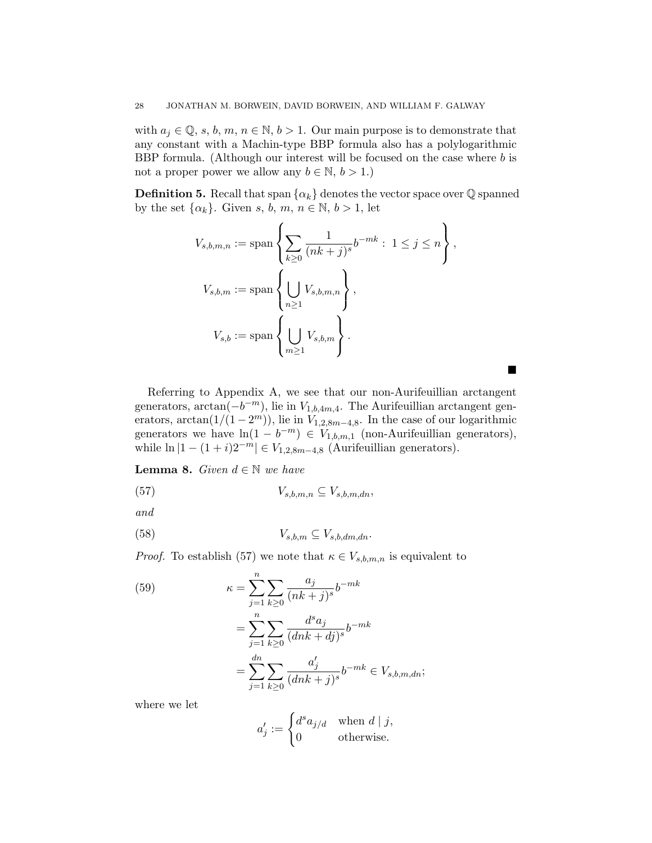with  $a_j \in \mathbb{Q}, s, b, m, n \in \mathbb{N}, b > 1$ . Our main purpose is to demonstrate that any constant with a Machin-type BBP formula also has a polylogarithmic BBP formula. (Although our interest will be focused on the case where b is not a proper power we allow any  $b \in \mathbb{N}, b > 1$ .)

**Definition 5.** Recall that span  $\{\alpha_k\}$  denotes the vector space over  $\mathbb Q$  spanned by the set  $\{\alpha_k\}$ . Given s, b, m,  $n \in \mathbb{N}$ ,  $b > 1$ , let

$$
V_{s,b,m,n} := \text{span}\left\{\sum_{k\geq 0} \frac{1}{(nk+j)^s} b^{-mk} : 1 \leq j \leq n \right\},\
$$
  

$$
V_{s,b,m} := \text{span}\left\{\bigcup_{n\geq 1} V_{s,b,m,n} \right\},\
$$
  

$$
V_{s,b} := \text{span}\left\{\bigcup_{m\geq 1} V_{s,b,m} \right\}.
$$

Referring to Appendix [A,](#page-26-1) we see that our non-Aurifeuillian arctangent generators,  $arctan(-b^{-m})$ , lie in  $V_{1,b,4m,4}$ . The Aurifeuillian arctangent generators, arctan(1/(1 – 2<sup>m</sup>)), lie in  $V_{1,2,8m-4,8}$ . In the case of our logarithmic generators we have  $ln(1-b^{-m}) \in V_{1,b,m,1}$  (non-Aurifeuillian generators), while  $\ln |1 - (1 + i)2^{-m}| \in V_{1,2,8m-4,8}$  (Aurifeuillian generators).

 $\blacksquare$ 

<span id="page-27-3"></span><span id="page-27-0"></span>**Lemma 8.** Given  $d \in \mathbb{N}$  we have

$$
(57) \t\t V_{s,b,m,n} \subseteq V_{s,b,m,dn},
$$

<span id="page-27-1"></span>
$$
\qquad and \qquad
$$

$$
(58) \t\t V_{s,b,m} \subseteq V_{s,b,dm,dn}.
$$

*Proof.* To establish [\(57\)](#page-27-0) we note that  $\kappa \in V_{s,b,m,n}$  is equivalent to

<span id="page-27-2"></span>(59) 
$$
\kappa = \sum_{j=1}^{n} \sum_{k \ge 0} \frac{a_j}{(nk+j)^s} b^{-mk}
$$

$$
= \sum_{j=1}^{n} \sum_{k \ge 0} \frac{d^s a_j}{(dnk + dj)^s} b^{-mk}
$$

$$
= \sum_{j=1}^{dn} \sum_{k \ge 0} \frac{a'_j}{(dnk + j)^s} b^{-mk} \in V_{s,b,m,dn};
$$

where we let

$$
a'_j := \begin{cases} d^s a_{j/d} & \text{when } d \mid j, \\ 0 & \text{otherwise.} \end{cases}
$$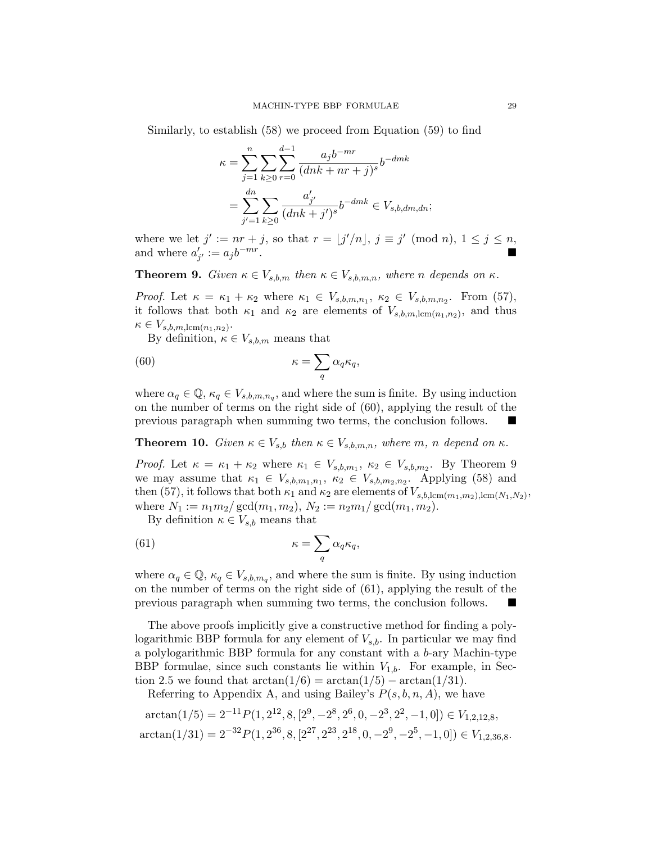Similarly, to establish [\(58\)](#page-27-1) we proceed from Equation [\(59\)](#page-27-2) to find

$$
\kappa = \sum_{j=1}^{n} \sum_{k\geq 0} \sum_{r=0}^{d-1} \frac{a_j b^{-mr}}{(dnk + nr + j)^s} b^{-dmk}
$$

$$
= \sum_{j'=1}^{dn} \sum_{k\geq 0} \frac{a'_{j'}}{(dnk + j')^s} b^{-dmk} \in V_{s,b,dm,dn};
$$

where we let  $j' := nr + j$ , so that  $r = |j'/n|$ ,  $j \equiv j' \pmod{n}$ ,  $1 \le j \le n$ , and where  $a'_{j'} := a_j b^{-mr}$ .

<span id="page-28-1"></span>**Theorem 9.** Given  $\kappa \in V_{s,b,m}$  then  $\kappa \in V_{s,b,m,n}$ , where n depends on  $\kappa$ .

*Proof.* Let  $\kappa = \kappa_1 + \kappa_2$  where  $\kappa_1 \in V_{s,b,m,n_1}, \ \kappa_2 \in V_{s,b,m,n_2}$ . From [\(57\)](#page-27-0), it follows that both  $\kappa_1$  and  $\kappa_2$  are elements of  $V_{s,b,m,\text{lcm}(n_1,n_2)}$ , and thus  $\kappa \in V_{s,b,m,\text{lcm}(n_1,n_2)}$ .

<span id="page-28-0"></span>By definition,  $\kappa \in V_{s,b,m}$  means that

(60) 
$$
\kappa = \sum_{q} \alpha_q \kappa_q,
$$

where  $\alpha_q \in \mathbb{Q}, \kappa_q \in V_{s,b,m,n_q}$ , and where the sum is finite. By using induction on the number of terms on the right side of [\(60\)](#page-28-0), applying the result of the previous paragraph when summing two terms, the conclusion follows.

**Theorem 10.** Given  $\kappa \in V_{s,b}$  then  $\kappa \in V_{s,b,m,n}$ , where m, n depend on  $\kappa$ .

*Proof.* Let  $\kappa = \kappa_1 + \kappa_2$  where  $\kappa_1 \in V_{s,b,m_1}, \kappa_2 \in V_{s,b,m_2}.$  By Theorem [9](#page-28-1) we may assume that  $\kappa_1 \in V_{s,b,m_1,n_1}, \ \kappa_2 \in V_{s,b,m_2,n_2}.$  Applying [\(58\)](#page-27-1) and then [\(57\)](#page-27-0), it follows that both  $\kappa_1$  and  $\kappa_2$  are elements of  $V_{s,b,\text{lcm}(m_1,m_2),\text{lcm}(N_1,N_2)}$ , where  $N_1 := n_1 m_2 / \gcd(m_1, m_2), N_2 := n_2 m_1 / \gcd(m_1, m_2).$ 

<span id="page-28-2"></span>By definition  $\kappa \in V_{s,b}$  means that

(61) 
$$
\kappa = \sum_{q} \alpha_q \kappa_q,
$$

where  $\alpha_q \in \mathbb{Q}, \kappa_q \in V_{s,b,m_q}$ , and where the sum is finite. By using induction on the number of terms on the right side of [\(61\)](#page-28-2), applying the result of the previous paragraph when summing two terms, the conclusion follows.  $\Box$ 

The above proofs implicitly give a constructive method for finding a polylogarithmic BBP formula for any element of  $V_{s,b}$ . In particular we may find a polylogarithmic BBP formula for any constant with a b-ary Machin-type BBP formulae, since such constants lie within  $V_{1,b}$ . For example, in Sec-tion [2.5](#page-10-0) we found that  $arctan(1/6) = arctan(1/5) - arctan(1/31)$ .

Referring to Appendix [A,](#page-26-1) and using Bailey's  $P(s, b, n, A)$ , we have

$$
\arctan(1/5) = 2^{-11} P(1, 2^{12}, 8, [2^9, -2^8, 2^6, 0, -2^3, 2^2, -1, 0]) \in V_{1,2,12,8},
$$
  

$$
\arctan(1/31) = 2^{-32} P(1, 2^{36}, 8, [2^{27}, 2^{23}, 2^{18}, 0, -2^9, -2^5, -1, 0]) \in V_{1,2,36,8}.
$$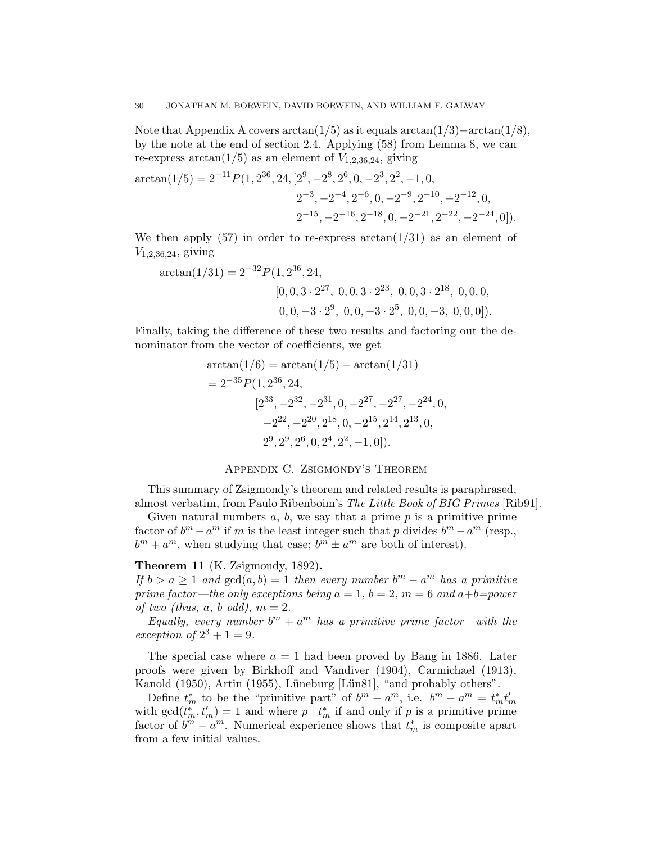Note that [A](#page-26-1)ppendix A covers  $arctan(1/5)$  as it equals  $arctan(1/3)-arctan(1/8)$ , by the note at the end of section [2.4.](#page-9-0) Applying [\(58\)](#page-27-1) from Lemma [8,](#page-27-3) we can re-express  $arctan(1/5)$  as an element of  $V_{1,2,36,24}$ , giving

$$
\arctan(1/5) = 2^{-11} P(1, 2^{36}, 24, [2^9, -2^8, 2^6, 0, -2^3, 2^2, -1, 0, 2^{-3}, -2^{-4}, 2^{-6}, 0, -2^{-9}, 2^{-10}, -2^{-12}, 0, 2^{-15}, -2^{-16}, 2^{-18}, 0, -2^{-21}, 2^{-22}, -2^{-24}, 0]).
$$

We then apply  $(57)$  in order to re-express  $arctan(1/31)$  as an element of  $V_{1,2,36,24}$ , giving

$$
\arctan(1/31) = 2^{-32} P(1, 2^{36}, 24,
$$
  
[0, 0, 3 \cdot 2^{27}, 0, 0, 3 \cdot 2^{23}, 0, 0, 3 \cdot 2^{18}, 0, 0, 0,  
0, 0, -3 \cdot 2^9, 0, 0, -3 \cdot 2^5, 0, 0, -3, 0, 0, 0]).

Finally, taking the difference of these two results and factoring out the denominator from the vector of coefficients, we get

$$
\arctan(1/6) = \arctan(1/5) - \arctan(1/31)
$$
  
=  $2^{-35}P(1, 2^{36}, 24,$   

$$
[2^{33}, -2^{32}, -2^{31}, 0, -2^{27}, -2^{27}, -2^{24}, 0,
$$
  

$$
-2^{22}, -2^{20}, 2^{18}, 0, -2^{15}, 2^{14}, 2^{13}, 0,
$$
  

$$
2^9, 2^9, 2^6, 0, 2^4, 2^2, -1, 0]).
$$

# Appendix C. Zsigmondy's Theorem

<span id="page-29-0"></span>This summary of Zsigmondy's theorem and related results is paraphrased, almost verbatim, from Paulo Ribenboim's The Little Book of BIG Primes [\[Rib91\]](#page-33-11).

Given natural numbers  $a, b$ , we say that a prime  $p$  is a primitive prime factor of  $b^m - a^m$  if m is the least integer such that p divides  $b^m - a^m$  (resp.,  $b^m + a^m$ , when studying that case;  $b^m \pm a^m$  are both of interest).

#### Theorem 11 (K. Zsigmondy, 1892).

If  $b > a \ge 1$  and  $gcd(a, b) = 1$  then every number  $b^m - a^m$  has a primitive prime factor—the only exceptions being  $a = 1$ ,  $b = 2$ ,  $m = 6$  and  $a+b=power$ of two (thus,  $a, b \text{ odd}$ ),  $m = 2$ .

Equally, every number  $b^m + a^m$  has a primitive prime factor—with the exception of  $2^3 + 1 = 9$ .

The special case where  $a = 1$  had been proved by Bang in 1886. Later proofs were given by Birkhoff and Vandiver (1904), Carmichael (1913), Kanold (1950), Artin (1955), Lüneburg [Lün81], "and probably others".

Define  $t_m^*$  to be the "primitive part" of  $b^m - a^m$ , i.e.  $b^m - a^m = t_m^* t_m'$ with  $gcd(t_m^*, t_m') = 1$  and where  $p \mid t_m^*$  if and only if p is a primitive prime factor of  $b^m - a^m$ . Numerical experience shows that  $t_m^*$  is composite apart from a few initial values.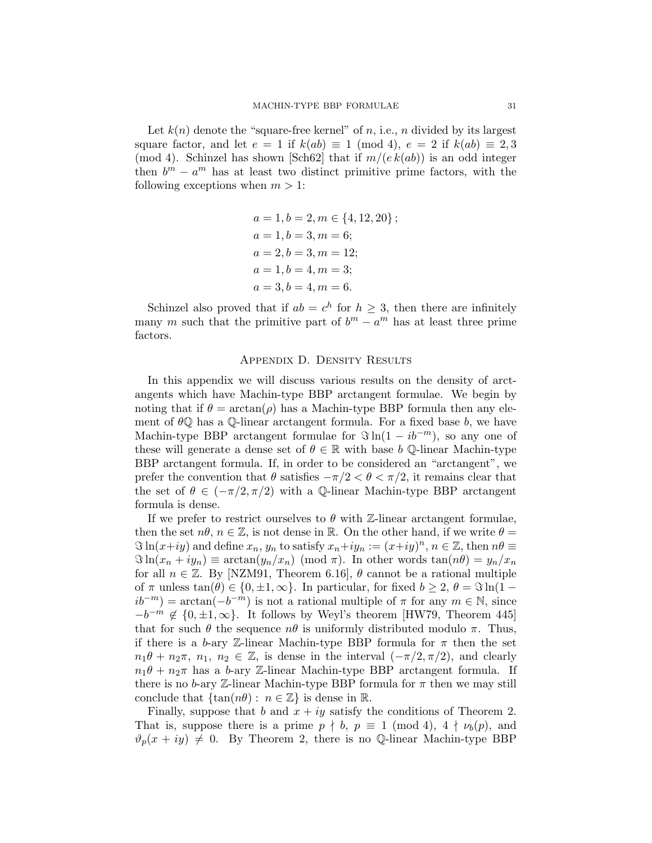Let  $k(n)$  denote the "square-free kernel" of n, i.e., n divided by its largest square factor, and let  $e = 1$  if  $k(ab) \equiv 1 \pmod{4}$ ,  $e = 2$  if  $k(ab) \equiv 2,3$ (mod 4). Schinzel has shown [\[Sch62\]](#page-33-13) that if  $m/(e k(ab))$  is an odd integer then  $b^m - a^m$  has at least two distinct primitive prime factors, with the following exceptions when  $m > 1$ :

$$
a = 1, b = 2, m \in \{4, 12, 20\};
$$
  
\n
$$
a = 1, b = 3, m = 6;
$$
  
\n
$$
a = 2, b = 3, m = 12;
$$
  
\n
$$
a = 1, b = 4, m = 3;
$$
  
\n
$$
a = 3, b = 4, m = 6.
$$

Schinzel also proved that if  $ab = c^h$  for  $h \geq 3$ , then there are infinitely many m such that the primitive part of  $b^m - a^m$  has at least three prime factors.

### Appendix D. Density Results

<span id="page-30-0"></span>In this appendix we will discuss various results on the density of arctangents which have Machin-type BBP arctangent formulae. We begin by noting that if  $\theta = \arctan(\rho)$  has a Machin-type BBP formula then any element of  $\theta \mathbb{Q}$  has a  $\mathbb{Q}$ -linear arctangent formula. For a fixed base b, we have Machin-type BBP arctangent formulae for  $\Im \ln(1 - ib^{-m})$ , so any one of these will generate a dense set of  $\theta \in \mathbb{R}$  with base b Q-linear Machin-type BBP arctangent formula. If, in order to be considered an "arctangent", we prefer the convention that  $\theta$  satisfies  $-\pi/2 < \theta < \pi/2$ , it remains clear that the set of  $\theta \in (-\pi/2, \pi/2)$  with a Q-linear Machin-type BBP arctangent formula is dense.

If we prefer to restrict ourselves to  $\theta$  with  $\mathbb{Z}$ -linear arctangent formulae, then the set  $n\theta$ ,  $n \in \mathbb{Z}$ , is not dense in R. On the other hand, if we write  $\theta =$  $\Im \ln(x+iy)$  and define  $x_n, y_n$  to satisfy  $x_n+iy_n := (x+iy)^n, n \in \mathbb{Z}$ , then  $n\theta \equiv$  $\Im \ln(x_n + iy_n) \equiv \arctan(y_n/x_n) \pmod{\pi}$ . In other words  $\tan(n\theta) = y_n/x_n$ for all  $n \in \mathbb{Z}$ . By [\[NZM91,](#page-33-7) Theorem 6.16],  $\theta$  cannot be a rational multiple of  $\pi$  unless  $\tan(\theta) \in \{0, \pm 1, \infty\}$ . In particular, for fixed  $b \geq 2$ ,  $\theta = \Im \ln(1 - \pi)$  $ib^{-m}$ ) = arctan( $-b^{-m}$ ) is not a rational multiple of  $\pi$  for any  $m \in \mathbb{N}$ , since  $-b^{-m} \notin \{0, \pm 1, \infty\}$ . It follows by Weyl's theorem [\[HW79,](#page-33-14) Theorem 445] that for such  $\theta$  the sequence  $n\theta$  is uniformly distributed modulo  $\pi$ . Thus, if there is a b-ary  $\mathbb{Z}$ -linear Machin-type BBP formula for  $\pi$  then the set  $n_1\theta + n_2\pi$ ,  $n_1$ ,  $n_2 \in \mathbb{Z}$ , is dense in the interval  $(-\pi/2, \pi/2)$ , and clearly  $n_1\theta + n_2\pi$  has a b-ary Z-linear Machin-type BBP arctangent formula. If there is no b-ary  $\mathbb Z$ -linear Machin-type BBP formula for  $\pi$  then we may still conclude that  $\{\tan(n\theta): n \in \mathbb{Z}\}\$ is dense in R.

Finally, suppose that b and  $x + iy$  satisfy the conditions of Theorem [2.](#page-15-0) That is, suppose there is a prime  $p \nmid b, p \equiv 1 \pmod{4}$ ,  $4 \nmid \nu_b(p)$ , and  $\vartheta_p(x+iy) \neq 0$ . By Theorem [2,](#page-15-0) there is no Q-linear Machin-type BBP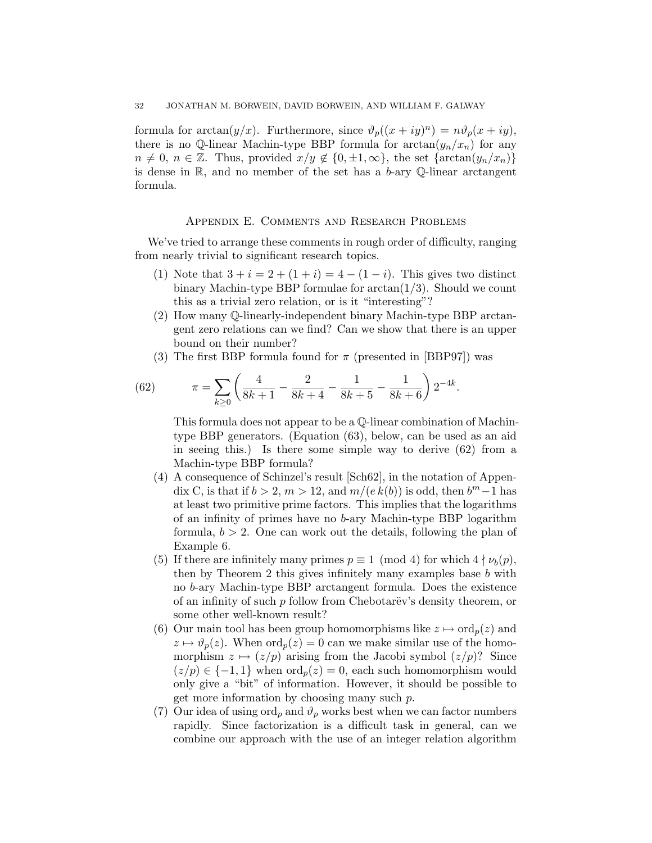formula for  $arctan(y/x)$ . Furthermore, since  $\vartheta_p((x+iy)^n) = n\vartheta_p(x+iy)$ , there is no Q-linear Machin-type BBP formula for  $arctan(y_n/x_n)$  for any  $n \neq 0, n \in \mathbb{Z}$ . Thus, provided  $x/y \notin \{0, \pm 1, \infty\}$ , the set  $\{\arctan(y_n/x_n)\}$ is dense in  $\mathbb{R}$ , and no member of the set has a b-ary  $\mathbb{Q}$ -linear arctangent formula.

## Appendix E. Comments and Research Problems

<span id="page-31-0"></span>We've tried to arrange these comments in rough order of difficulty, ranging from nearly trivial to significant research topics.

- (1) Note that  $3 + i = 2 + (1 + i) = 4 (1 i)$ . This gives two distinct binary Machin-type BBP formulae for  $arctan(1/3)$ . Should we count this as a trivial zero relation, or is it "interesting"?
- (2) How many Q-linearly-independent binary Machin-type BBP arctangent zero relations can we find? Can we show that there is an upper bound on their number?
- (3) The first BBP formula found for  $\pi$  (presented in [\[BBP97\]](#page-32-1)) was

(62) 
$$
\pi = \sum_{k\geq 0} \left( \frac{4}{8k+1} - \frac{2}{8k+4} - \frac{1}{8k+5} - \frac{1}{8k+6} \right) 2^{-4k}
$$

This formula does not appear to be a Q-linear combination of Machintype BBP generators. (Equation [\(63\)](#page-32-4), below, can be used as an aid in seeing this.) Is there some simple way to derive [\(62\)](#page-31-1) from a Machin-type BBP formula?

<span id="page-31-1"></span>.

- (4) A consequence of Schinzel's result [\[Sch62\]](#page-33-13), in the notation of Appen-dix [C,](#page-29-0) is that if  $b > 2$ ,  $m > 12$ , and  $m/(e k(b))$  is odd, then  $b<sup>m</sup> - 1$  has at least two primitive prime factors. This implies that the logarithms of an infinity of primes have no b-ary Machin-type BBP logarithm formula,  $b > 2$ . One can work out the details, following the plan of Example [6.](#page-23-0)
- (5) If there are infinitely many primes  $p \equiv 1 \pmod{4}$  for which  $4 \nmid \nu_b(p)$ , then by Theorem [2](#page-15-0) this gives infinitely many examples base b with no b-ary Machin-type BBP arctangent formula. Does the existence of an infinity of such  $p$  follow from Chebotarëv's density theorem, or some other well-known result?
- (6) Our main tool has been group homomorphisms like  $z \mapsto \text{ord}_p(z)$  and  $z \mapsto \vartheta_p(z)$ . When  $\text{ord}_p(z) = 0$  can we make similar use of the homomorphism  $z \mapsto (z/p)$  arising from the Jacobi symbol  $(z/p)$ ? Since  $(z/p) \in \{-1, 1\}$  when  $\text{ord}_p(z) = 0$ , each such homomorphism would only give a "bit" of information. However, it should be possible to get more information by choosing many such p.
- (7) Our idea of using ord<sub>p</sub> and  $\vartheta_p$  works best when we can factor numbers rapidly. Since factorization is a difficult task in general, can we combine our approach with the use of an integer relation algorithm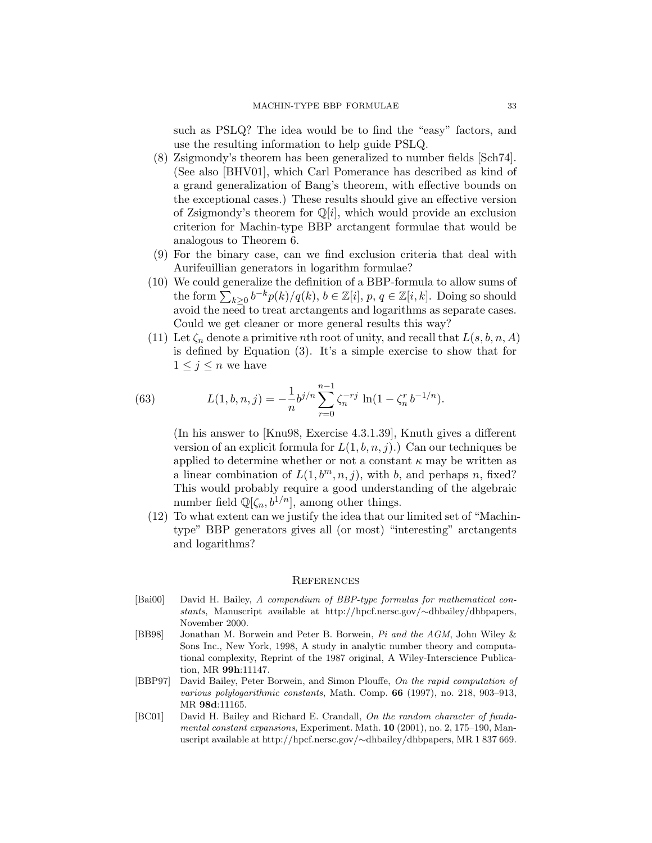such as PSLQ? The idea would be to find the "easy" factors, and use the resulting information to help guide PSLQ.

- (8) Zsigmondy's theorem has been generalized to number fields [\[Sch74\]](#page-33-15). (See also [\[BHV01\]](#page-33-16), which Carl Pomerance has described as kind of a grand generalization of Bang's theorem, with effective bounds on the exceptional cases.) These results should give an effective version of Zsigmondy's theorem for  $\mathbb{Q}[i]$ , which would provide an exclusion criterion for Machin-type BBP arctangent formulae that would be analogous to Theorem [6.](#page-21-1)
- (9) For the binary case, can we find exclusion criteria that deal with Aurifeuillian generators in logarithm formulae?
- (10) We could generalize the definition of a BBP-formula to allow sums of the form  $\sum_{k\geq 0} b^{-k}p(k)/q(k)$ ,  $b \in \mathbb{Z}[i], p, q \in \mathbb{Z}[i, k]$ . Doing so should avoid the need to treat arctangents and logarithms as separate cases. Could we get cleaner or more general results this way?
- (11) Let  $\zeta_n$  denote a primitive nth root of unity, and recall that  $L(s, b, n, A)$ is defined by Equation [\(3\)](#page-5-1). It's a simple exercise to show that for  $1 \leq j \leq n$  we have

(63) 
$$
L(1, b, n, j) = -\frac{1}{n} b^{j/n} \sum_{r=0}^{n-1} \zeta_n^{-rj} \ln(1 - \zeta_n^r b^{-1/n}).
$$

<span id="page-32-4"></span>(In his answer to [\[Knu98,](#page-33-17) Exercise 4.3.1.39], Knuth gives a different version of an explicit formula for  $L(1, b, n, j)$ .) Can our techniques be applied to determine whether or not a constant  $\kappa$  may be written as a linear combination of  $L(1, b^m, n, j)$ , with b, and perhaps n, fixed? This would probably require a good understanding of the algebraic number field  $\mathbb{Q}[\zeta_n, b^{1/n}]$ , among other things.

(12) To what extent can we justify the idea that our limited set of "Machintype" BBP generators gives all (or most) "interesting" arctangents and logarithms?

#### **REFERENCES**

- <span id="page-32-0"></span>[Bai00] David H. Bailey, A compendium of BBP-type formulas for mathematical constants, Manuscript available at [http://hpcf.nersc.gov/](http://hpcf.nersc.gov/~dhbailey/dhbpapers)∼dhbailey/dhbpapers, November 2000.
- <span id="page-32-3"></span>[BB98] Jonathan M. Borwein and Peter B. Borwein, Pi and the AGM, John Wiley & Sons Inc., New York, 1998, A study in analytic number theory and computational complexity, Reprint of the 1987 original, A Wiley-Interscience Publication, MR 99h[:11147.](http://www.ams.org/mathscinet-getitem?mr=99h:11147)
- <span id="page-32-1"></span>[BBP97] David Bailey, Peter Borwein, and Simon Plouffe, On the rapid computation of various polylogarithmic constants, Math. Comp. 66 (1997), no. 218, 903–913, MR 98d[:11165.](http://www.ams.org/mathscinet-getitem?mr=98d:11165)
- <span id="page-32-2"></span>[BC01] David H. Bailey and Richard E. Crandall, On the random character of fundamental constant expansions, Experiment, Math.  $10$  (2001), no. 2, 175–190, Manuscript available at [http://hpcf.nersc.gov/](http://hpcf.nersc.gov/~dhbailey/dhbpapers)∼dhbailey/dhbpapers, [MR 1 837 669.](http://www.ams.org/mathscinet-getitem?mr=1837669)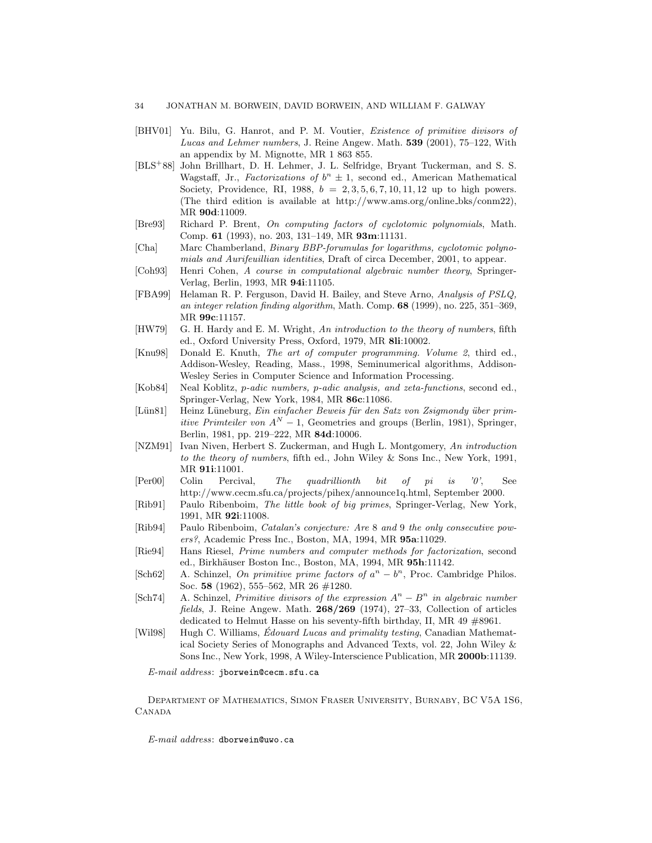- <span id="page-33-16"></span>[BHV01] Yu. Bilu, G. Hanrot, and P. M. Voutier, Existence of primitive divisors of Lucas and Lehmer numbers, J. Reine Angew. Math. **539** (2001), 75–122, With an appendix by M. Mignotte, [MR 1 863 855.](http://www.ams.org/mathscinet-getitem?mr=1863855)
- <span id="page-33-6"></span>[BLS<sup>+</sup>88] John Brillhart, D. H. Lehmer, J. L. Selfridge, Bryant Tuckerman, and S. S. Wagstaff, Jr., Factorizations of  $b^n \pm 1$ , second ed., American Mathematical Society, Providence, RI, 1988,  $b = 2, 3, 5, 6, 7, 10, 11, 12$  up to high powers. (The third edition is available at [http://www.ams.org/online](http://www.ams.org/online_bks/conm22) bks/conm22), MR 90d[:11009.](http://www.ams.org/mathscinet-getitem?mr=90d:11009)
- <span id="page-33-9"></span>[Bre93] Richard P. Brent, On computing factors of cyclotomic polynomials, Math. Comp. 61 (1993), no. 203, 131–149, MR 93m[:11131.](http://www.ams.org/mathscinet-getitem?mr=93m:11131)
- <span id="page-33-10"></span>[Cha] Marc Chamberland, Binary BBP-forumulas for logarithms, cyclotomic polynomials and Aurifeuillian identities, Draft of circa December, 2001, to appear.
- <span id="page-33-5"></span>[Coh93] Henri Cohen, A course in computational algebraic number theory, Springer-Verlag, Berlin, 1993, MR 94i[:11105.](http://www.ams.org/mathscinet-getitem?mr=94i:11105)
- <span id="page-33-1"></span>[FBA99] Helaman R. P. Ferguson, David H. Bailey, and Steve Arno, Analysis of PSLQ, an integer relation finding algorithm, Math. Comp. 68 (1999), no. 225, 351–369, MR 99c[:11157.](http://www.ams.org/mathscinet-getitem?mr=99c:11157)
- <span id="page-33-14"></span>[HW79] G. H. Hardy and E. M. Wright, An introduction to the theory of numbers, fifth ed., Oxford University Press, Oxford, 1979, MR 8li[:10002.](http://www.ams.org/mathscinet-getitem?mr=8li:10002)
- <span id="page-33-17"></span>[Knu98] Donald E. Knuth, The art of computer programming. Volume 2, third ed., Addison-Wesley, Reading, Mass., 1998, Seminumerical algorithms, Addison-Wesley Series in Computer Science and Information Processing.
- <span id="page-33-4"></span>[Kob84] Neal Koblitz, p-adic numbers, p-adic analysis, and zeta-functions, second ed., Springer-Verlag, New York, 1984, MR 86c[:11086.](http://www.ams.org/mathscinet-getitem?mr=86c:11086)
- <span id="page-33-12"></span>[Lün81] Heinz Lüneburg, Ein einfacher Beweis für den Satz von Zsigmondy über prim*itive Primteiler von*  $A^N - 1$ , Geometries and groups (Berlin, 1981), Springer, Berlin, 1981, pp. 219-222, MR 84d[:10006.](http://www.ams.org/mathscinet-getitem?mr=84d:10006)
- <span id="page-33-7"></span>[NZM91] Ivan Niven, Herbert S. Zuckerman, and Hugh L. Montgomery, An introduction to the theory of numbers, fifth ed., John Wiley & Sons Inc., New York, 1991, MR 91i[:11001.](http://www.ams.org/mathscinet-getitem?mr=91i:11001)
- <span id="page-33-0"></span>[Per00] Colin Percival, The quadrillionth bit of pi is '0', See [http://www.cecm.sfu.ca/projects/pihex/announce1q.html,](http://www.cecm.sfu.ca/projects/pihex/announce1q.html) September 2000.
- <span id="page-33-11"></span>[Rib91] Paulo Ribenboim, The little book of big primes, Springer-Verlag, New York, 1991, MR 92i[:11008.](http://www.ams.org/mathscinet-getitem?mr=92i:11008)
- <span id="page-33-2"></span>[Rib94] Paulo Ribenboim, Catalan's conjecture: Are 8 and 9 the only consecutive powers?, Academic Press Inc., Boston, MA, 1994, MR 95a[:11029.](http://www.ams.org/mathscinet-getitem?mr=95a:11029)
- <span id="page-33-8"></span>[Rie94] Hans Riesel, Prime numbers and computer methods for factorization, second ed., Birkhäuser Boston Inc., Boston, MA, 1994, MR 95h[:11142.](http://www.ams.org/mathscinet-getitem?mr=95h:11142)
- <span id="page-33-13"></span>[Sch62] A. Schinzel, On primitive prime factors of  $a^n - b^n$ , Proc. Cambridge Philos. Soc. 58 (1962), 555–562, [MR 26 #1280.](http://www.ams.org/mathscinet-getitem?mr=26:1280)
- <span id="page-33-15"></span>[Sch74] A. Schinzel, *Primitive divisors of the expression*  $A^n - B^n$  in algebraic number fields, J. Reine Angew. Math. 268/269 (1974), 27–33, Collection of articles dedicated to Helmut Hasse on his seventy-fifth birthday, II, MR  $49 \#8961$ .
- <span id="page-33-3"></span>[Wil98] Hugh C. Williams, *Édouard Lucas and primality testing*, Canadian Mathematical Society Series of Monographs and Advanced Texts, vol. 22, John Wiley & Sons Inc., New York, 1998, A Wiley-Interscience Publication, MR [2000b](http://www.ams.org/mathscinet-getitem?mr=2000b:11139):11139.

E-mail address: [jborwein@cecm.sfu.ca](mailto:jborwein@cecm.sfu.ca)

Department of Mathematics, Simon Fraser University, Burnaby, BC V5A 1S6, **CANADA** 

E-mail address: [dborwein@uwo.ca](mailto:dborwein@julian.uwo.ca)